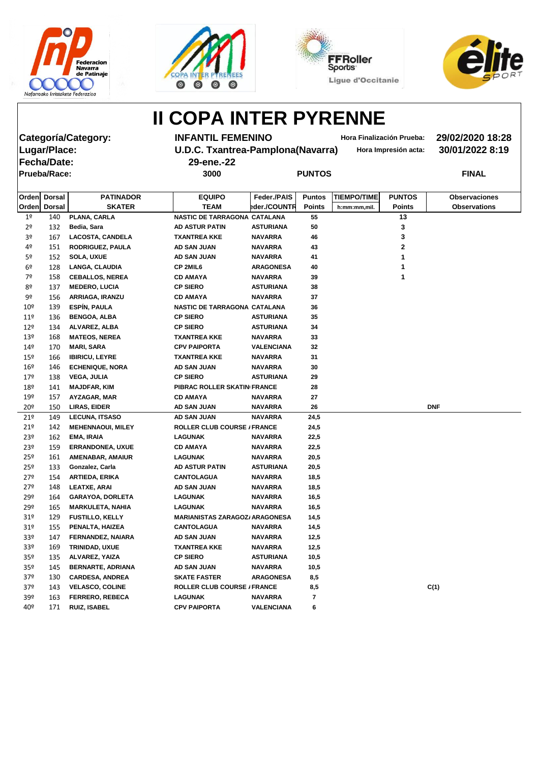







**Fecha/Date: 29-ene.-22 Prueba/Race: 3000 PUNTOS FINAL**

**Categoría/Category: INFANTIL FEMENINO Hora Finalización Prueba: 29/02/2020 18:28 Lugar/Place: U.D.C. Txantrea-Pamplona(Navarra) Hora Impresión acta: 30/01/2022 8:19**

|                 | Orden Dorsal | <b>PATINADOR</b>         | <b>EQUIPO</b>                         | Feder./PAIS       | <b>Puntos</b> | <b>TIEMPO/TIME</b> | <b>PUNTOS</b> | <b>Observaciones</b> |
|-----------------|--------------|--------------------------|---------------------------------------|-------------------|---------------|--------------------|---------------|----------------------|
|                 | Orden Dorsal | <b>SKATER</b>            | <b>TEAM</b>                           | eder./COUNTR      | <b>Points</b> | h:mm:mm,mil.       | <b>Points</b> | <b>Observations</b>  |
| 1 <sup>o</sup>  | 140          | PLANA, CARLA             | NASTIC DE TARRAGONA CATALANA          |                   | 55            |                    | 13            |                      |
| 2 <sup>o</sup>  | 132          | Bedia, Sara              | <b>AD ASTUR PATIN</b>                 | <b>ASTURIANA</b>  | 50            |                    | 3             |                      |
| 3 <sup>o</sup>  | 167          | <b>LACOSTA, CANDELA</b>  | <b>TXANTREA KKE</b>                   | <b>NAVARRA</b>    | 46            |                    | 3             |                      |
| 4º              | 151          | <b>RODRIGUEZ, PAULA</b>  | AD SAN JUAN                           | <b>NAVARRA</b>    | 43            |                    | 2             |                      |
| 5º              | 152          | <b>SOLA, UXUE</b>        | <b>AD SAN JUAN</b>                    | <b>NAVARRA</b>    | 41            |                    |               |                      |
| 6 <sup>9</sup>  | 128          | <b>LANGA, CLAUDIA</b>    | CP 2MIL6                              | <b>ARAGONESA</b>  | 40            |                    |               |                      |
| 7º              | 158          | <b>CEBALLOS, NEREA</b>   | <b>CD AMAYA</b>                       | <b>NAVARRA</b>    | 39            |                    |               |                      |
| 8º              | 137          | <b>MEDERO, LUCIA</b>     | <b>CP SIERO</b>                       | <b>ASTURIANA</b>  | 38            |                    |               |                      |
| 9º              | 156          | <b>ARRIAGA, IRANZU</b>   | <b>CD AMAYA</b>                       | <b>NAVARRA</b>    | 37            |                    |               |                      |
| 10 <sup>°</sup> | 139          | <b>ESPÍN, PAULA</b>      | NASTIC DE TARRAGONA CATALANA          |                   | 36            |                    |               |                      |
| 11 <sup>°</sup> | 136          | <b>BENGOA, ALBA</b>      | <b>CP SIERO</b>                       | <b>ASTURIANA</b>  | 35            |                    |               |                      |
| $12^{\circ}$    | 134          | ALVAREZ, ALBA            | <b>CP SIERO</b>                       | <b>ASTURIANA</b>  | 34            |                    |               |                      |
| 13 <sup>°</sup> | 168          | <b>MATEOS, NEREA</b>     | <b>TXANTREA KKE</b>                   | <b>NAVARRA</b>    | 33            |                    |               |                      |
| 14º             | 170          | <b>MARI, SARA</b>        | <b>CPV PAIPORTA</b>                   | <b>VALENCIANA</b> | 32            |                    |               |                      |
| $15^{\circ}$    | 166          | <b>IBIRICU, LEYRE</b>    | <b>TXANTREA KKE</b>                   | <b>NAVARRA</b>    | 31            |                    |               |                      |
| 16 <sup>°</sup> | 146          | <b>ECHENIQUE, NORA</b>   | AD SAN JUAN                           | <b>NAVARRA</b>    | 30            |                    |               |                      |
| 17º             | 138          | <b>VEGA, JULIA</b>       | <b>CP SIERO</b>                       | <b>ASTURIANA</b>  | 29            |                    |               |                      |
| 18º             | 141          | <b>MAJDFAR, KIM</b>      | PIBRAC ROLLER SKATIN FRANCE           |                   | 28            |                    |               |                      |
| 19º             | 157          | AYZAGAR, MAR             | <b>CD AMAYA</b>                       | <b>NAVARRA</b>    | 27            |                    |               |                      |
| 20 <sup>°</sup> | 150          | <b>LIRAS, EIDER</b>      | AD SAN JUAN                           | <b>NAVARRA</b>    | 26            |                    |               | <b>DNF</b>           |
| 21°             | 149          | <b>LECUNA, ITSASO</b>    | <b>AD SAN JUAN</b>                    | <b>NAVARRA</b>    | 24,5          |                    |               |                      |
| 21°             | 142          | <b>MEHENNAOUI, MILEY</b> | <b>ROLLER CLUB COURSE / FRANCE</b>    |                   | 24,5          |                    |               |                      |
| 23º             | 162          | <b>EMA, IRAIA</b>        | <b>LAGUNAK</b>                        | <b>NAVARRA</b>    | 22,5          |                    |               |                      |
| 23º             | 159          | <b>ERRANDONEA, UXUE</b>  | <b>CD AMAYA</b>                       | <b>NAVARRA</b>    | 22,5          |                    |               |                      |
| 25 <sup>°</sup> | 161          | <b>AMENABAR, AMAIUR</b>  | LAGUNAK                               | <b>NAVARRA</b>    | 20,5          |                    |               |                      |
| 25 <sup>°</sup> | 133          | Gonzalez, Carla          | <b>AD ASTUR PATIN</b>                 | <b>ASTURIANA</b>  | 20,5          |                    |               |                      |
| 27º             | 154          | <b>ARTIEDA, ERIKA</b>    | <b>CANTOLAGUA</b>                     | <b>NAVARRA</b>    | 18,5          |                    |               |                      |
| 27º             | 148          | <b>LEATXE, ARAI</b>      | AD SAN JUAN                           | <b>NAVARRA</b>    | 18,5          |                    |               |                      |
| 29º             | 164          | <b>GARAYOA, DORLETA</b>  | <b>LAGUNAK</b>                        | <b>NAVARRA</b>    | 16,5          |                    |               |                      |
| 29º             | 165          | <b>MARKULETA, NAHIA</b>  | <b>LAGUNAK</b>                        | <b>NAVARRA</b>    | 16,5          |                    |               |                      |
| 31 <sup>°</sup> | 129          | <b>FUSTILLO, KELLY</b>   | <b>MARIANISTAS ZARAGOZ/ ARAGONESA</b> |                   | 14,5          |                    |               |                      |
| 31 <sup>°</sup> | 155          | PENALTA, HAIZEA          | <b>CANTOLAGUA</b>                     | <b>NAVARRA</b>    | 14,5          |                    |               |                      |
| 33º             | 147          | FERNANDEZ, NAIARA        | AD SAN JUAN                           | <b>NAVARRA</b>    | 12,5          |                    |               |                      |
| 33º             | 169          | <b>TRINIDAD, UXUE</b>    | <b>TXANTREA KKE</b>                   | <b>NAVARRA</b>    | 12,5          |                    |               |                      |
| 35 <sup>°</sup> | 135          | ALVAREZ, YAIZA           | <b>CP SIERO</b>                       | <b>ASTURIANA</b>  | 10,5          |                    |               |                      |
| 35º             | 145          | <b>BERNARTE, ADRIANA</b> | <b>AD SAN JUAN</b>                    | <b>NAVARRA</b>    | 10,5          |                    |               |                      |
| 37 <sup>°</sup> | 130          | <b>CARDESA, ANDREA</b>   | <b>SKATE FASTER</b>                   | <b>ARAGONESA</b>  | 8,5           |                    |               |                      |
| 37 <sup>°</sup> | 143          | <b>VELASCO, COLINE</b>   | <b>ROLLER CLUB COURSE / FRANCE</b>    |                   | 8,5           |                    |               | C(1)                 |
| 39º             | 163          | <b>FERRERO, REBECA</b>   | <b>LAGUNAK</b>                        | <b>NAVARRA</b>    | 7             |                    |               |                      |
| 40º             | 171          | <b>RUIZ, ISABEL</b>      | <b>CPV PAIPORTA</b>                   | <b>VALENCIANA</b> | 6             |                    |               |                      |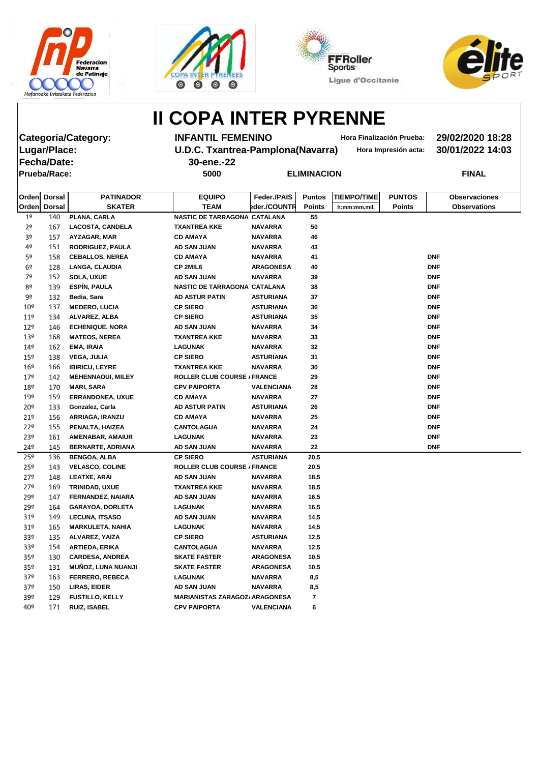







**Fecha/Date: 30-ene.-22 Prueba/Race: 5000 ELIMINACION FINAL**

**Categoría/Category: INFANTIL FEMENINO Hora Finalización Prueba: 29/02/2020 18:28 Lugar/Place: U.D.C. Txantrea-Pamplona(Navarra) Hora Impresión acta: 30/01/2022 14:03**

|                 | Orden Dorsal | <b>PATINADOR</b>          | <b>EQUIPO</b>                         | Feder./PAIS       | <b>Puntos</b> | <b>TIEMPO/TIME</b> | <b>PUNTOS</b> | <b>Observaciones</b> |
|-----------------|--------------|---------------------------|---------------------------------------|-------------------|---------------|--------------------|---------------|----------------------|
|                 | Orden Dorsal | <b>SKATER</b>             | <b>TEAM</b>                           | eder./COUNTR      | <b>Points</b> | h:mm:mm,mil.       | <b>Points</b> | <b>Observations</b>  |
| 1 <sup>°</sup>  | 140          | PLANA, CARLA              | NASTIC DE TARRAGONA CATALANA          |                   | 55            |                    |               |                      |
| 2 <sup>o</sup>  | 167          | <b>LACOSTA, CANDELA</b>   | <b>TXANTREA KKE</b>                   | <b>NAVARRA</b>    | 50            |                    |               |                      |
| 3º              | 157          | <b>AYZAGAR, MAR</b>       | <b>CD AMAYA</b>                       | <b>NAVARRA</b>    | 46            |                    |               |                      |
| 4º              | 151          | <b>RODRIGUEZ, PAULA</b>   | AD SAN JUAN                           | <b>NAVARRA</b>    | 43            |                    |               |                      |
| 5º              | 158          | <b>CEBALLOS, NEREA</b>    | <b>CD AMAYA</b>                       | <b>NAVARRA</b>    | 41            |                    |               | <b>DNF</b>           |
| 6º              | 128          | <b>LANGA, CLAUDIA</b>     | <b>CP 2MIL6</b>                       | <b>ARAGONESA</b>  | 40            |                    |               | <b>DNF</b>           |
| 7º              | 152          | <b>SOLA, UXUE</b>         | AD SAN JUAN                           | <b>NAVARRA</b>    | 39            |                    |               | <b>DNF</b>           |
| 8º              | 139          | <b>ESPÍN, PAULA</b>       | NASTIC DE TARRAGONA CATALANA          |                   | 38            |                    |               | <b>DNF</b>           |
| 9º              | 132          | Bedia, Sara               | <b>AD ASTUR PATIN</b>                 | <b>ASTURIANA</b>  | 37            |                    |               | <b>DNF</b>           |
| 10 <sup>°</sup> | 137          | <b>MEDERO, LUCIA</b>      | <b>CP SIERO</b>                       | <b>ASTURIANA</b>  | 36            |                    |               | <b>DNF</b>           |
| 11 <sup>°</sup> | 134          | ALVAREZ, ALBA             | <b>CP SIERO</b>                       | <b>ASTURIANA</b>  | 35            |                    |               | <b>DNF</b>           |
| $12^{\circ}$    | 146          | <b>ECHENIQUE, NORA</b>    | <b>AD SAN JUAN</b>                    | <b>NAVARRA</b>    | 34            |                    |               | <b>DNF</b>           |
| 13 <sup>°</sup> | 168          | <b>MATEOS, NEREA</b>      | <b>TXANTREA KKE</b>                   | <b>NAVARRA</b>    | 33            |                    |               | <b>DNF</b>           |
| 14 <sup>°</sup> | 162          | <b>EMA, IRAIA</b>         | <b>LAGUNAK</b>                        | <b>NAVARRA</b>    | 32            |                    |               | <b>DNF</b>           |
| 15 <sup>°</sup> | 138          | <b>VEGA, JULIA</b>        | <b>CP SIERO</b>                       | <b>ASTURIANA</b>  | 31            |                    |               | <b>DNF</b>           |
| 16 <sup>°</sup> | 166          | <b>IBIRICU, LEYRE</b>     | <b>TXANTREA KKE</b>                   | <b>NAVARRA</b>    | 30            |                    |               | <b>DNF</b>           |
| 179             | 142          | <b>MEHENNAOUI, MILEY</b>  | <b>ROLLER CLUB COURSE / FRANCE</b>    |                   | 29            |                    |               | <b>DNF</b>           |
| 18º             | 170          | <b>MARI, SARA</b>         | <b>CPV PAIPORTA</b>                   | <b>VALENCIANA</b> | 28            |                    |               | <b>DNF</b>           |
| 19º             | 159          | <b>ERRANDONEA, UXUE</b>   | <b>CD AMAYA</b>                       | <b>NAVARRA</b>    | 27            |                    |               | <b>DNF</b>           |
| 20 <sup>°</sup> | 133          | Gonzalez, Carla           | <b>AD ASTUR PATIN</b>                 | <b>ASTURIANA</b>  | 26            |                    |               | <b>DNF</b>           |
| 21°             | 156          | ARRIAGA, IRANZU           | <b>CD AMAYA</b>                       | <b>NAVARRA</b>    | 25            |                    |               | <b>DNF</b>           |
| 22°             | 155          | PENALTA, HAIZEA           | <b>CANTOLAGUA</b>                     | <b>NAVARRA</b>    | 24            |                    |               | <b>DNF</b>           |
| 23º             | 161          | AMENABAR, AMAIUR          | <b>LAGUNAK</b>                        | <b>NAVARRA</b>    | 23            |                    |               | <b>DNF</b>           |
| 24º             | 145          | <b>BERNARTE, ADRIANA</b>  | <b>AD SAN JUAN</b>                    | <b>NAVARRA</b>    | 22            |                    |               | <b>DNF</b>           |
| $25^{\circ}$    | 136          | <b>BENGOA, ALBA</b>       | <b>CP SIERO</b>                       | <b>ASTURIANA</b>  | 20,5          |                    |               |                      |
| $25^{\circ}$    | 143          | <b>VELASCO, COLINE</b>    | <b>ROLLER CLUB COURSE / FRANCE</b>    |                   | 20,5          |                    |               |                      |
| 279             | 148          | <b>LEATXE, ARAI</b>       | AD SAN JUAN                           | <b>NAVARRA</b>    | 18,5          |                    |               |                      |
| 27º             | 169          | TRINIDAD, UXUE            | <b>TXANTREA KKE</b>                   | <b>NAVARRA</b>    | 18,5          |                    |               |                      |
| 29º             | 147          | FERNANDEZ, NAIARA         | <b>AD SAN JUAN</b>                    | <b>NAVARRA</b>    | 16,5          |                    |               |                      |
| 29º             | 164          | <b>GARAYOA, DORLETA</b>   | <b>LAGUNAK</b>                        | <b>NAVARRA</b>    | 16,5          |                    |               |                      |
| 31 <sup>°</sup> | 149          | <b>LECUNA, ITSASO</b>     | AD SAN JUAN                           | <b>NAVARRA</b>    | 14,5          |                    |               |                      |
| 31 <sup>°</sup> | 165          | <b>MARKULETA, NAHIA</b>   | <b>LAGUNAK</b>                        | <b>NAVARRA</b>    | 14,5          |                    |               |                      |
| 33 <sup>o</sup> | 135          | ALVAREZ, YAIZA            | <b>CP SIERO</b>                       | <b>ASTURIANA</b>  | 12,5          |                    |               |                      |
| 33 <sup>o</sup> | 154          | ARTIEDA, ERIKA            | <b>CANTOLAGUA</b>                     | <b>NAVARRA</b>    | 12,5          |                    |               |                      |
| 35 <sup>o</sup> | 130          | <b>CARDESA, ANDREA</b>    | <b>SKATE FASTER</b>                   | <b>ARAGONESA</b>  | 10,5          |                    |               |                      |
| 35 <sup>°</sup> | 131          | <b>MUÑOZ, LUNA NUANJI</b> | <b>SKATE FASTER</b>                   | <b>ARAGONESA</b>  | 10,5          |                    |               |                      |
| 37 <sup>°</sup> | 163          | <b>FERRERO, REBECA</b>    | <b>LAGUNAK</b>                        | <b>NAVARRA</b>    | 8,5           |                    |               |                      |
| 37 <sup>°</sup> | 150          | LIRAS, EIDER              | AD SAN JUAN                           | <b>NAVARRA</b>    | 8,5           |                    |               |                      |
| 39º             | 129          | <b>FUSTILLO, KELLY</b>    | <b>MARIANISTAS ZARAGOZ/ ARAGONESA</b> |                   | 7             |                    |               |                      |
| 40º             | 171          | <b>RUIZ, ISABEL</b>       | <b>CPV PAIPORTA</b>                   | <b>VALENCIANA</b> | 6             |                    |               |                      |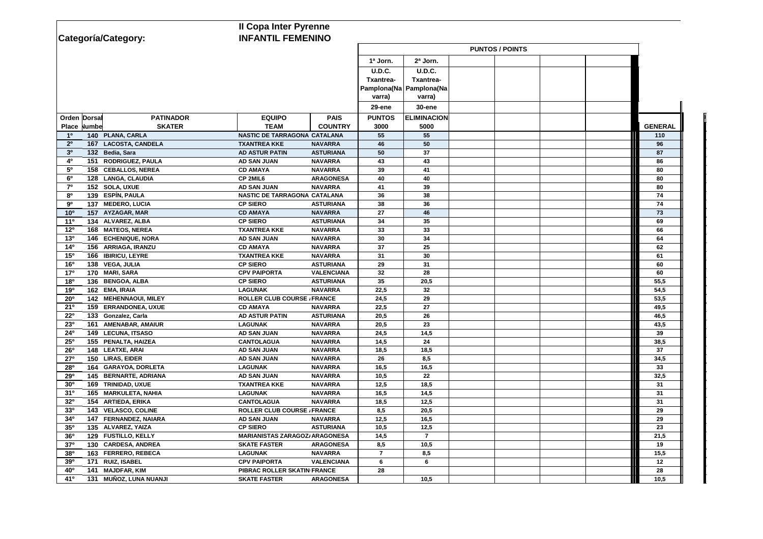| <b>Il Copa Inter Pyrenne</b>                                |                                                           |                  |                         |  |  |  |                |
|-------------------------------------------------------------|-----------------------------------------------------------|------------------|-------------------------|--|--|--|----------------|
| Categoría/Category:                                         | <b>INFANTIL FEMENINO</b>                                  |                  |                         |  |  |  |                |
|                                                             |                                                           |                  | <b>PUNTOS / POINTS</b>  |  |  |  |                |
|                                                             |                                                           | 1ª Jorn.         | 2ª Jorn.                |  |  |  |                |
|                                                             |                                                           | <b>U.D.C.</b>    | U.D.C.                  |  |  |  |                |
|                                                             |                                                           | <b>Txantrea-</b> | Txantrea-               |  |  |  |                |
|                                                             |                                                           |                  | Pamplona(Na Pamplona(Na |  |  |  |                |
|                                                             |                                                           | varra)           | varra)                  |  |  |  |                |
|                                                             |                                                           | <b>29-ene</b>    | <b>30-ene</b>           |  |  |  |                |
| Orden Dorsal<br><b>PATINADOR</b>                            | <b>PAIS</b><br><b>EQUIPO</b>                              | <b>PUNTOS</b>    | <b>ELIMINACION</b>      |  |  |  |                |
| <b>SKATER</b><br>Place Numbe                                | <b>TEAM</b><br><b>COUNTRY</b>                             | 3000             | 5000                    |  |  |  | <b>GENERAL</b> |
| 140 PLANA, CARLA<br>10                                      | NASTIC DE TARRAGONA CATALANA                              | 55               | 55                      |  |  |  | 110            |
| 2 <sup>0</sup><br>167 LACOSTA, CANDELA                      | <b>TXANTREA KKE</b><br><b>NAVARRA</b>                     | 46               | 50                      |  |  |  | 96             |
| 3 <sup>0</sup><br>132 Bedia, Sara                           | <b>ASTURIANA</b><br><b>AD ASTUR PATIN</b>                 | 50               | 37                      |  |  |  | 87             |
| 40<br>151 RODRIGUEZ, PAULA                                  | <b>AD SAN JUAN</b><br><b>NAVARRA</b>                      | 43               | 43                      |  |  |  | 86             |
| $5^{\circ}$<br>158 CEBALLOS, NEREA                          | <b>CD AMAYA</b><br><b>NAVARRA</b>                         | 39               | 41                      |  |  |  | 80             |
| $6^{\circ}$<br>128 LANGA, CLAUDIA                           | CP 2MIL6<br><b>ARAGONESA</b>                              | 40               | 40                      |  |  |  | 80             |
| 70<br>152 SOLA, UXUE                                        | <b>AD SAN JUAN</b><br><b>NAVARRA</b>                      | 41               | 39                      |  |  |  | 80             |
| 139 ESPÍN, PAULA<br>80                                      | NASTIC DE TARRAGONA CATALANA                              | 36               | 38                      |  |  |  | 74             |
| 137 MEDERO, LUCIA<br>9º                                     | <b>CP SIERO</b><br><b>ASTURIANA</b>                       | 38               | 36                      |  |  |  | 74             |
| 10 <sup>o</sup><br>157 AYZAGAR, MAR                         | <b>NAVARRA</b><br><b>CD AMAYA</b>                         | 27               | 46                      |  |  |  | 73             |
| 11 <sup>0</sup><br>134 ALVAREZ, ALBA                        | <b>CP SIERO</b><br><b>ASTURIANA</b>                       | 34               | 35                      |  |  |  | 69             |
| 12 <sup>o</sup><br>168 MATEOS, NEREA                        | <b>TXANTREA KKE</b><br><b>NAVARRA</b>                     | 33               | 33                      |  |  |  | 66             |
| 13 <sup>o</sup><br>146 ECHENIQUE, NORA                      | <b>AD SAN JUAN</b><br><b>NAVARRA</b>                      | 30               | 34                      |  |  |  | 64             |
| 14 <sup>o</sup><br>156 ARRIAGA, IRANZU                      | <b>CD AMAYA</b><br><b>NAVARRA</b>                         | 37               | 25                      |  |  |  | 62             |
| 15 <sup>o</sup><br>166 IBIRICU, LEYRE                       | <b>TXANTREA KKE</b><br><b>NAVARRA</b>                     | 31               | 30                      |  |  |  | 61             |
| 138 VEGA, JULIA<br>16 <sup>o</sup>                          | <b>CP SIERO</b><br><b>ASTURIANA</b>                       | 29               | 31                      |  |  |  | 60             |
| 17 <sup>o</sup><br>170 MARI, SARA                           | <b>CPV PAIPORTA</b><br><b>VALENCIANA</b>                  | 32               | 28                      |  |  |  | 60             |
| 180<br>136 BENGOA, ALBA                                     | <b>CP SIERO</b><br><b>ASTURIANA</b>                       | 35               | 20,5                    |  |  |  | 55,5           |
| 162 EMA, IRAIA<br>190                                       | <b>LAGUNAK</b><br><b>NAVARRA</b>                          | 22,5             | 32                      |  |  |  | 54,5           |
| 142 MEHENNAOUI, MILEY<br>$20^{\circ}$                       | <b>ROLLER CLUB COURSE / FRANCE</b>                        | 24,5             | 29                      |  |  |  | 53,5           |
| 21°<br>159 ERRANDONEA, UXUE                                 | <b>CD AMAYA</b><br><b>NAVARRA</b>                         | 22,5             | 27                      |  |  |  | 49,5           |
| $22^{\circ}$<br>133 Gonzalez, Carla                         | <b>AD ASTUR PATIN</b><br><b>ASTURIANA</b>                 | 20,5             | 26                      |  |  |  | 46,5           |
| 161 AMENABAR, AMAIUR<br>23 <sup>o</sup>                     | <b>LAGUNAK</b><br><b>NAVARRA</b>                          | 20,5             | 23                      |  |  |  | 43,5           |
| 149 LECUNA, ITSASO<br>24 <sup>o</sup>                       | AD SAN JUAN<br><b>NAVARRA</b>                             | 24,5             | 14,5                    |  |  |  | 39             |
| $25^{\circ}$<br>155 PENALTA, HAIZEA                         | <b>CANTOLAGUA</b><br><b>NAVARRA</b><br><b>AD SAN JUAN</b> | 14,5             | 24                      |  |  |  | 38,5<br>37     |
| 148 LEATXE, ARAI<br>$26^{\circ}$<br>150 LIRAS, EIDER<br>27° | <b>NAVARRA</b><br>AD SAN JUAN<br><b>NAVARRA</b>           | 18,5<br>26       | 18,5                    |  |  |  |                |
| 164 GARAYOA, DORLETA<br><b>28º</b>                          | <b>LAGUNAK</b><br><b>NAVARRA</b>                          | 16,5             | 8,5<br>16,5             |  |  |  | 34,5<br>33     |
| <b>29º</b><br>145 BERNARTE, ADRIANA                         | <b>NAVARRA</b><br><b>AD SAN JUAN</b>                      | 10,5             | 22                      |  |  |  | 32,5           |
| 30 <sup>o</sup><br>169 TRINIDAD, UXUE                       | <b>NAVARRA</b><br><b>TXANTREA KKE</b>                     | 12,5             | 18,5                    |  |  |  | 31             |
| 31 <sup>o</sup><br>165 MARKULETA, NAHIA                     | <b>LAGUNAK</b><br><b>NAVARRA</b>                          | 16,5             | 14,5                    |  |  |  | 31             |
| 32 <sup>o</sup><br>154 ARTIEDA, ERIKA                       | <b>NAVARRA</b><br><b>CANTOLAGUA</b>                       | 18,5             | 12,5                    |  |  |  | 31             |
| <b>33º</b><br>143 VELASCO, COLINE                           | <b>ROLLER CLUB COURSE / FRANCE</b>                        | 8,5              | 20,5                    |  |  |  | 29             |
| 34 <sup>o</sup><br>147 FERNANDEZ, NAIARA                    | <b>AD SAN JUAN</b><br><b>NAVARRA</b>                      | 12,5             | 16,5                    |  |  |  | 29             |
| 135 ALVAREZ, YAIZA<br>35 <sup>o</sup>                       | <b>CP SIERO</b><br><b>ASTURIANA</b>                       | 10,5             | 12,5                    |  |  |  | 23             |
| 36 <sup>o</sup><br>129 FUSTILLO, KELLY                      | <b>MARIANISTAS ZARAGOZ/ ARAGONESA</b>                     | 14,5             | $\overline{7}$          |  |  |  | 21,5           |
| 130 CARDESA, ANDREA<br>37 <sup>o</sup>                      | <b>ARAGONESA</b><br><b>SKATE FASTER</b>                   | 8,5              | 10,5                    |  |  |  | 19             |
| 380<br>163 FERRERO, REBECA                                  | <b>LAGUNAK</b><br><b>NAVARRA</b>                          | $\overline{7}$   | 8,5                     |  |  |  | 15,5           |
| 171 RUIZ, ISABEL<br>390                                     | <b>CPV PAIPORTA</b><br><b>VALENCIANA</b>                  | 6                | 6                       |  |  |  | 12             |
| 141 MAJDFAR, KIM<br>40 <sup>o</sup>                         | PIBRAC ROLLER SKATIN FRANCE                               | 28               |                         |  |  |  | 28             |
| 41°<br>131 MUÑOZ, LUNA NUANJI                               | <b>SKATE FASTER</b><br><b>ARAGONESA</b>                   |                  | 10,5                    |  |  |  | 10,5           |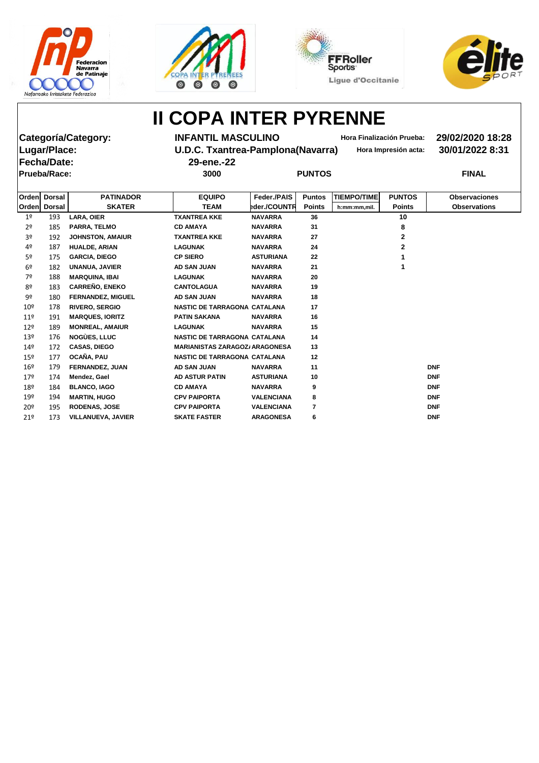







**Fecha/Date: 29-ene.-22 Prueba/Race: 3000 PUNTOS FINAL**

**Categoría/Category: INFANTIL MASCULINO Hora Finalización Prueba: 29/02/2020 18:28 Lugar/Place: U.D.C. Txantrea-Pamplona(Navarra) Hora Impresión acta: 30/01/2022 8:31**

| Ordenl          | <b>Dorsal</b> | <b>PATINADOR</b>          | <b>EQUIPO</b>                         | Feder./PAIS       | <b>Puntos</b>  | <b>TIEMPO/TIME</b> | <b>PUNTOS</b> | <b>Observaciones</b> |
|-----------------|---------------|---------------------------|---------------------------------------|-------------------|----------------|--------------------|---------------|----------------------|
| Orden           | <b>Dorsal</b> | <b>SKATER</b>             | <b>TEAM</b>                           | eder./COUNTR      | <b>Points</b>  | h:mm:mm.mil.       | <b>Points</b> | <b>Observations</b>  |
| 1 <sup>o</sup>  | 193           | <b>LARA, OIER</b>         | <b>TXANTREA KKE</b>                   | <b>NAVARRA</b>    | 36             |                    | 10            |                      |
| 2 <sup>o</sup>  | 185           | <b>PARRA, TELMO</b>       | <b>CD AMAYA</b>                       | <b>NAVARRA</b>    | 31             |                    | 8             |                      |
| 3 <sup>o</sup>  | 192           | <b>JOHNSTON, AMAIUR</b>   | <b>TXANTREA KKE</b>                   | <b>NAVARRA</b>    | 27             |                    | $\mathbf 2$   |                      |
| 4º              | 187           | <b>HUALDE, ARIAN</b>      | <b>LAGUNAK</b>                        | <b>NAVARRA</b>    | 24             |                    | $\mathbf{2}$  |                      |
| 5º              | 175           | <b>GARCIA, DIEGO</b>      | <b>CP SIERO</b>                       | <b>ASTURIANA</b>  | 22             |                    |               |                      |
| 6 <sup>o</sup>  | 182           | UNANUA, JAVIER            | <b>AD SAN JUAN</b>                    | <b>NAVARRA</b>    | 21             |                    |               |                      |
| 7º              | 188           | <b>MARQUINA, IBAI</b>     | <b>LAGUNAK</b>                        | <b>NAVARRA</b>    | 20             |                    |               |                      |
| 8º              | 183           | <b>CARREÑO, ENEKO</b>     | <b>CANTOLAGUA</b>                     | <b>NAVARRA</b>    | 19             |                    |               |                      |
| 9º              | 180           | <b>FERNANDEZ, MIGUEL</b>  | <b>AD SAN JUAN</b>                    | <b>NAVARRA</b>    | 18             |                    |               |                      |
| 10 <sup>°</sup> | 178           | <b>RIVERO, SERGIO</b>     | NASTIC DE TARRAGONA CATALANA          |                   | 17             |                    |               |                      |
| 11 <sup>°</sup> | 191           | <b>MARQUES, IORITZ</b>    | <b>PATIN SAKANA</b>                   | <b>NAVARRA</b>    | 16             |                    |               |                      |
| $12^{\circ}$    | 189           | <b>MONREAL, AMAIUR</b>    | <b>LAGUNAK</b>                        | <b>NAVARRA</b>    | 15             |                    |               |                      |
| 13 <sup>°</sup> | 176           | <b>NOGÙES, LLUC</b>       | NASTIC DE TARRAGONA CATALANA          |                   | 14             |                    |               |                      |
| 14 <sup>°</sup> | 172           | <b>CASAS, DIEGO</b>       | <b>MARIANISTAS ZARAGOZ/ ARAGONESA</b> |                   | 13             |                    |               |                      |
| 15 <sup>°</sup> | 177           | OCAÑA, PAU                | NASTIC DE TARRAGONA CATALANA          |                   | 12             |                    |               |                      |
| $16^{\circ}$    | 179           | <b>FERNANDEZ, JUAN</b>    | <b>AD SAN JUAN</b>                    | <b>NAVARRA</b>    | 11             |                    |               | <b>DNF</b>           |
| 17 <sup>°</sup> | 174           | Mendez, Gael              | <b>AD ASTUR PATIN</b>                 | <b>ASTURIANA</b>  | 10             |                    |               | <b>DNF</b>           |
| 18º             | 184           | <b>BLANCO, IAGO</b>       | <b>CD AMAYA</b>                       | <b>NAVARRA</b>    | 9              |                    |               | <b>DNF</b>           |
| 19º             | 194           | <b>MARTIN, HUGO</b>       | <b>CPV PAIPORTA</b>                   | <b>VALENCIANA</b> | 8              |                    |               | <b>DNF</b>           |
| 20 <sup>°</sup> | 195           | <b>RODENAS, JOSE</b>      | <b>CPV PAIPORTA</b>                   | <b>VALENCIANA</b> | $\overline{7}$ |                    |               | <b>DNF</b>           |
| 21°             | 173           | <b>VILLANUEVA, JAVIER</b> | <b>SKATE FASTER</b>                   | <b>ARAGONESA</b>  | 6              |                    |               | <b>DNF</b>           |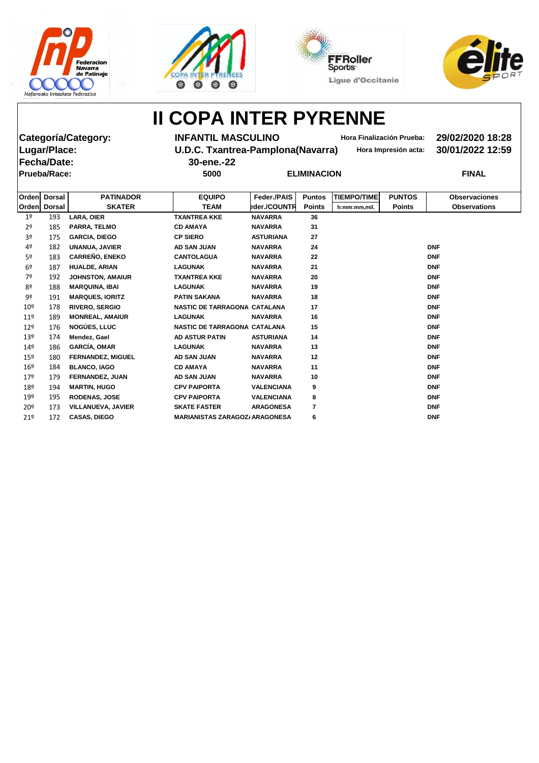







**Fecha/Date: 30-ene.-22 Prueba/Race: 5000 ELIMINACION FINAL**

**Categoría/Category: INFANTIL MASCULINO Hora Finalización Prueba: 29/02/2020 18:28 Lugar/Place: U.D.C. Txantrea-Pamplona(Navarra) Hora Impresión acta: 30/01/2022 12:59**

| Orden           | <b>Dorsal</b> | <b>PATINADOR</b>          | <b>EQUIPO</b>                         | Feder./PAIS       | <b>Puntos</b>  | <b>TIEMPO/TIME</b> | <b>PUNTOS</b> | <b>Observaciones</b> |
|-----------------|---------------|---------------------------|---------------------------------------|-------------------|----------------|--------------------|---------------|----------------------|
| <b>Orden</b>    | <b>Dorsal</b> | <b>SKATER</b>             | <b>TEAM</b>                           | eder./COUNTR      | <b>Points</b>  | h:mm:mm,mil.       | <b>Points</b> | <b>Observations</b>  |
| 1 <sup>°</sup>  | 193           | <b>LARA, OIER</b>         | <b>TXANTREA KKE</b>                   | <b>NAVARRA</b>    | 36             |                    |               |                      |
| 2 <sup>o</sup>  | 185           | PARRA, TELMO              | <b>CD AMAYA</b>                       | <b>NAVARRA</b>    | 31             |                    |               |                      |
| 3º              | 175           | <b>GARCIA, DIEGO</b>      | <b>CP SIERO</b>                       | <b>ASTURIANA</b>  | 27             |                    |               |                      |
| 4º              | 182           | <b>UNANUA, JAVIER</b>     | <b>AD SAN JUAN</b>                    | <b>NAVARRA</b>    | 24             |                    |               | <b>DNF</b>           |
| 5º              | 183           | <b>CARREÑO, ENEKO</b>     | <b>CANTOLAGUA</b>                     | <b>NAVARRA</b>    | 22             |                    |               | <b>DNF</b>           |
| 6 <sup>2</sup>  | 187           | <b>HUALDE, ARIAN</b>      | <b>LAGUNAK</b>                        | <b>NAVARRA</b>    | 21             |                    |               | <b>DNF</b>           |
| 7º              | 192           | <b>JOHNSTON, AMAIUR</b>   | <b>TXANTREA KKE</b>                   | <b>NAVARRA</b>    | 20             |                    |               | <b>DNF</b>           |
| 8º              | 188           | <b>MARQUINA, IBAI</b>     | <b>LAGUNAK</b>                        | <b>NAVARRA</b>    | 19             |                    |               | <b>DNF</b>           |
| 9º              | 191           | <b>MARQUES, IORITZ</b>    | <b>PATIN SAKANA</b>                   | <b>NAVARRA</b>    | 18             |                    |               | <b>DNF</b>           |
| 10 <sup>°</sup> | 178           | <b>RIVERO, SERGIO</b>     | NASTIC DE TARRAGONA CATALANA          |                   | 17             |                    |               | <b>DNF</b>           |
| $11^{\circ}$    | 189           | <b>MONREAL, AMAIUR</b>    | <b>LAGUNAK</b>                        | <b>NAVARRA</b>    | 16             |                    |               | <b>DNF</b>           |
| 12 <sup>°</sup> | 176           | <b>NOGÙES, LLUC</b>       | NASTIC DE TARRAGONA CATALANA          |                   | 15             |                    |               | <b>DNF</b>           |
| 13 <sup>°</sup> | 174           | Mendez, Gael              | <b>AD ASTUR PATIN</b>                 | <b>ASTURIANA</b>  | 14             |                    |               | <b>DNF</b>           |
| 14 <sup>°</sup> | 186           | <b>GARCÍA, OMAR</b>       | <b>LAGUNAK</b>                        | <b>NAVARRA</b>    | 13             |                    |               | <b>DNF</b>           |
| 15 <sup>°</sup> | 180           | <b>FERNANDEZ, MIGUEL</b>  | <b>AD SAN JUAN</b>                    | <b>NAVARRA</b>    | 12             |                    |               | <b>DNF</b>           |
| 16 <sup>°</sup> | 184           | <b>BLANCO, IAGO</b>       | <b>CD AMAYA</b>                       | <b>NAVARRA</b>    | 11             |                    |               | <b>DNF</b>           |
| 17 <sup>°</sup> | 179           | <b>FERNANDEZ, JUAN</b>    | <b>AD SAN JUAN</b>                    | <b>NAVARRA</b>    | 10             |                    |               | <b>DNF</b>           |
| 18º             | 194           | <b>MARTIN, HUGO</b>       | <b>CPV PAIPORTA</b>                   | <b>VALENCIANA</b> | 9              |                    |               | <b>DNF</b>           |
| 19º             | 195           | <b>RODENAS, JOSE</b>      | <b>CPV PAIPORTA</b>                   | <b>VALENCIANA</b> | 8              |                    |               | <b>DNF</b>           |
| 20º             | 173           | <b>VILLANUEVA, JAVIER</b> | <b>SKATE FASTER</b>                   | <b>ARAGONESA</b>  | $\overline{7}$ |                    |               | <b>DNF</b>           |
| 21º             | 172           | <b>CASAS, DIEGO</b>       | <b>MARIANISTAS ZARAGOZ/ ARAGONESA</b> |                   | 6              |                    |               | <b>DNF</b>           |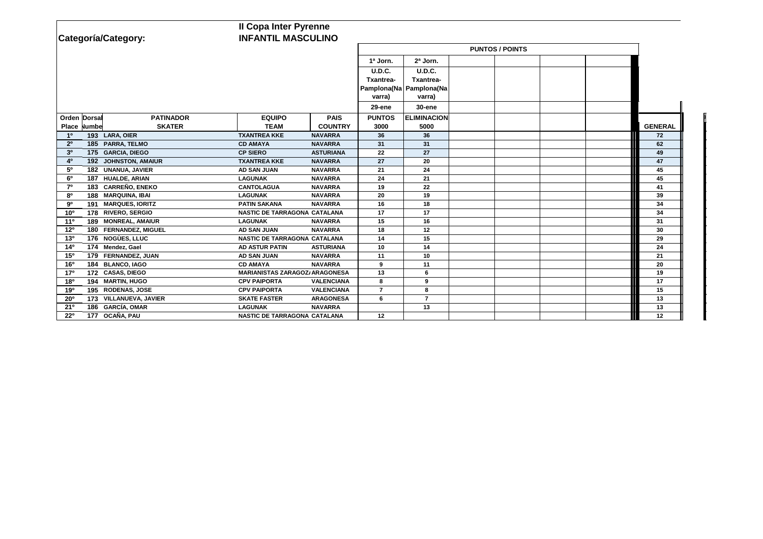|                 |               |                        | <b>Il Copa Inter Pyrenne</b>          |                   |                        |                           |  |  |  |  |                   |
|-----------------|---------------|------------------------|---------------------------------------|-------------------|------------------------|---------------------------|--|--|--|--|-------------------|
|                 |               | Categoría/Category:    | <b>INFANTIL MASCULINO</b>             |                   |                        |                           |  |  |  |  |                   |
|                 |               |                        |                                       |                   | <b>PUNTOS / POINTS</b> |                           |  |  |  |  |                   |
|                 |               |                        |                                       |                   | 1ª Jorn.               | 2ª Jorn.                  |  |  |  |  |                   |
|                 |               |                        |                                       |                   | <b>U.D.C.</b>          | U.D.C.                    |  |  |  |  |                   |
|                 |               |                        |                                       |                   | <b>Txantrea-</b>       | Txantrea-                 |  |  |  |  |                   |
|                 |               |                        |                                       |                   |                        | Pamplona(Na   Pamplona(Na |  |  |  |  |                   |
|                 |               |                        |                                       |                   | varra)                 | varra)                    |  |  |  |  |                   |
|                 |               |                        |                                       |                   | <b>29-ene</b>          | 30-ene                    |  |  |  |  |                   |
| Orden Dorsal    |               | <b>PATINADOR</b>       | <b>EQUIPO</b>                         | <b>PAIS</b>       | <b>PUNTOS</b>          | <b>ELIMINACION</b>        |  |  |  |  |                   |
| <b>Place</b>    | <b>Numbel</b> | <b>SKATER</b>          | <b>TEAM</b>                           | <b>COUNTRY</b>    | 3000                   | 5000                      |  |  |  |  | <b>GENERAL</b>    |
| 1 <sup>0</sup>  |               | 193 LARA, OIER         | <b>TXANTREA KKE</b>                   | <b>NAVARRA</b>    | 36                     | 36                        |  |  |  |  | 72                |
| 2 <sup>o</sup>  |               | 185 PARRA, TELMO       | <b>CD AMAYA</b>                       | <b>NAVARRA</b>    | 31                     | 31                        |  |  |  |  | 62                |
| 3 <sup>0</sup>  |               | 175 GARCIA, DIEGO      | <b>CP SIERO</b>                       | <b>ASTURIANA</b>  | 22                     | 27                        |  |  |  |  | 49                |
| 4 <sup>0</sup>  |               | 192 JOHNSTON, AMAIUR   | <b>TXANTREA KKE</b>                   | <b>NAVARRA</b>    | 27                     | 20                        |  |  |  |  | 47                |
| 5 <sup>0</sup>  |               | 182 UNANUA, JAVIER     | <b>AD SAN JUAN</b>                    | <b>NAVARRA</b>    | 21                     | 24                        |  |  |  |  | 45                |
| 6 <sup>o</sup>  |               | 187 HUALDE, ARIAN      | <b>LAGUNAK</b>                        | <b>NAVARRA</b>    | 24                     | 21                        |  |  |  |  | 45                |
| $7^\circ$       |               | 183 CARREÑO, ENEKO     | <b>CANTOLAGUA</b>                     | <b>NAVARRA</b>    | 19                     | 22                        |  |  |  |  | 41                |
| 80              |               | 188 MARQUINA, IBAI     | <b>LAGUNAK</b>                        | <b>NAVARRA</b>    | 20                     | 19                        |  |  |  |  | 39                |
| $9^{\rm o}$     |               | 191 MARQUES, IORITZ    | <b>PATIN SAKANA</b>                   | <b>NAVARRA</b>    | 16                     | 18                        |  |  |  |  | 34                |
| 10 <sup>o</sup> |               | 178 RIVERO, SERGIO     | NASTIC DE TARRAGONA CATALANA          |                   | 17                     | 17                        |  |  |  |  | 34                |
| 11 <sup>0</sup> |               | 189 MONREAL, AMAIUR    | <b>LAGUNAK</b>                        | <b>NAVARRA</b>    | 15                     | 16                        |  |  |  |  | 31                |
| 12 <sup>o</sup> |               | 180 FERNANDEZ, MIGUEL  | <b>AD SAN JUAN</b>                    | <b>NAVARRA</b>    | 18                     | 12                        |  |  |  |  | 30                |
| 13 <sup>0</sup> |               | 176 NOGÙES, LLUC       | NASTIC DE TARRAGONA CATALANA          |                   | 14                     | 15                        |  |  |  |  | 29                |
| 14 <sup>0</sup> |               | 174 Mendez, Gael       | <b>AD ASTUR PATIN</b>                 | <b>ASTURIANA</b>  | 10                     | 14                        |  |  |  |  | 24                |
| 15 <sup>o</sup> |               | 179 FERNANDEZ, JUAN    | <b>AD SAN JUAN</b>                    | <b>NAVARRA</b>    | 11                     | 10                        |  |  |  |  | 21                |
| <b>16°</b>      |               | 184 BLANCO, IAGO       | <b>CD AMAYA</b>                       | <b>NAVARRA</b>    | 9                      | 11                        |  |  |  |  | 20                |
| 17 <sup>o</sup> |               | 172 CASAS, DIEGO       | <b>MARIANISTAS ZARAGOZ/ ARAGONESA</b> |                   | 13                     | 6                         |  |  |  |  | 19                |
| 180             |               | 194 MARTIN, HUGO       | <b>CPV PAIPORTA</b>                   | <b>VALENCIANA</b> | 8                      | 9                         |  |  |  |  | 17                |
| 190             |               | 195 RODENAS, JOSE      | <b>CPV PAIPORTA</b>                   | <b>VALENCIANA</b> | $\overline{7}$         | 8                         |  |  |  |  | 15                |
| $20^{\circ}$    |               | 173 VILLANUEVA, JAVIER | <b>SKATE FASTER</b>                   | <b>ARAGONESA</b>  | 6                      | $\overline{7}$            |  |  |  |  | 13                |
| 21°             |               | 186 GARCÍA, OMAR       | <b>LAGUNAK</b>                        | <b>NAVARRA</b>    |                        | 13                        |  |  |  |  | 13                |
| $22^{\circ}$    |               | 177 OCAÑA, PAU         | NASTIC DE TARRAGONA CATALANA          |                   | 12                     |                           |  |  |  |  | $12 \overline{ }$ |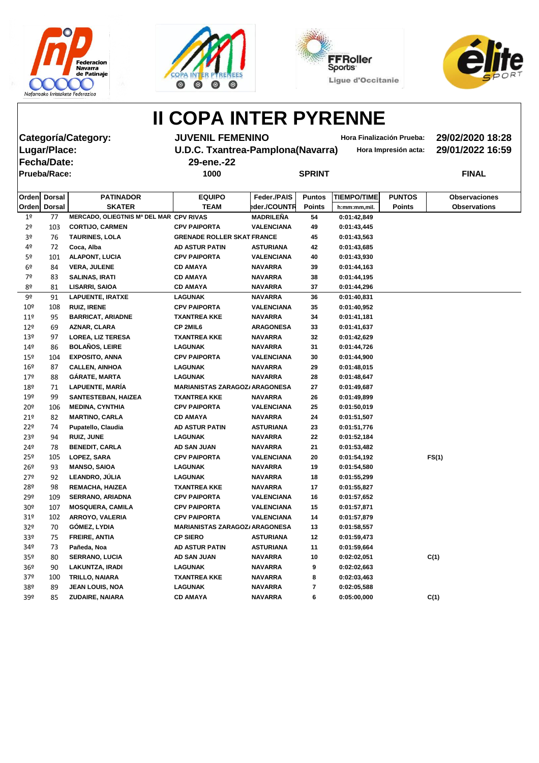







**Fecha/Date: 29-ene.-22 Prueba/Race: 1000 SPRINT FINAL**

**Categoría/Category: JUVENIL FEMENINO Hora Finalización Prueba: 29/02/2020 18:28 Lugar/Place: U.D.C. Txantrea-Pamplona(Navarra) Hora Impresión acta: 29/01/2022 16:59**

|                 | Orden Dorsal  | <b>PATINADOR</b>                        | <b>EQUIPO</b>                         | Feder./PAIS       | <b>Puntos</b> | <b>TIEMPO/TIME</b> | <b>PUNTOS</b> | <b>Observaciones</b> |
|-----------------|---------------|-----------------------------------------|---------------------------------------|-------------------|---------------|--------------------|---------------|----------------------|
| <b>Orden</b>    | <b>Dorsal</b> | <b>SKATER</b>                           | <b>TEAM</b>                           | eder./COUNTR      | <b>Points</b> | h:mm:mm,mil.       | <b>Points</b> | <b>Observations</b>  |
| 1 <sup>o</sup>  | 77            | MERCADO, OLIEGTNIS Mª DEL MAR CPV RIVAS |                                       | MADRILEÑA         | 54            | 0:01:42,849        |               |                      |
| 2 <sup>o</sup>  | 103           | <b>CORTIJO, CARMEN</b>                  | <b>CPV PAIPORTA</b>                   | <b>VALENCIANA</b> | 49            | 0:01:43,445        |               |                      |
| 3º              | 76            | <b>TAURINES, LOLA</b>                   | <b>GRENADE ROLLER SKAT FRANCE</b>     |                   | 45            | 0:01:43,563        |               |                      |
| 4º              | 72            | Coca, Alba                              | <b>AD ASTUR PATIN</b>                 | <b>ASTURIANA</b>  | 42            | 0:01:43,685        |               |                      |
| 5º              | 101           | <b>ALAPONT, LUCIA</b>                   | <b>CPV PAIPORTA</b>                   | <b>VALENCIANA</b> | 40            | 0:01:43,930        |               |                      |
| 6º              | 84            | <b>VERA, JULENE</b>                     | <b>CD AMAYA</b>                       | <b>NAVARRA</b>    | 39            | 0:01:44,163        |               |                      |
| 7º              | 83            | <b>SALINAS, IRATI</b>                   | <b>CD AMAYA</b>                       | <b>NAVARRA</b>    | 38            | 0:01:44,195        |               |                      |
| 8º              | 81            | <b>LISARRI, SAIOA</b>                   | <b>CD AMAYA</b>                       | <b>NAVARRA</b>    | 37            | 0:01:44,296        |               |                      |
| 9º              | 91            | <b>LAPUENTE, IRATXE</b>                 | <b>LAGUNAK</b>                        | <b>NAVARRA</b>    | 36            | 0:01:40,831        |               |                      |
| 10 <sup>°</sup> | 108           | <b>RUIZ, IRENE</b>                      | <b>CPV PAIPORTA</b>                   | <b>VALENCIANA</b> | 35            | 0:01:40,952        |               |                      |
| 11 <sup>°</sup> | 95            | <b>BARRICAT, ARIADNE</b>                | <b>TXANTREA KKE</b>                   | <b>NAVARRA</b>    | 34            | 0:01:41,181        |               |                      |
| 12 <sup>°</sup> | 69            | AZNAR, CLARA                            | <b>CP 2MIL6</b>                       | <b>ARAGONESA</b>  | 33            | 0:01:41,637        |               |                      |
| 13 <sup>°</sup> | 97            | <b>LOREA, LIZ TERESA</b>                | <b>TXANTREA KKE</b>                   | <b>NAVARRA</b>    | 32            | 0:01:42,629        |               |                      |
| 149             | 86            | <b>BOLAÑOS, LEIRE</b>                   | <b>LAGUNAK</b>                        | <b>NAVARRA</b>    | 31            | 0:01:44,726        |               |                      |
| 15 <sup>°</sup> | 104           | <b>EXPOSITO, ANNA</b>                   | <b>CPV PAIPORTA</b>                   | <b>VALENCIANA</b> | 30            | 0:01:44,900        |               |                      |
| 16 <sup>°</sup> | 87            | <b>CALLEN, AINHOA</b>                   | <b>LAGUNAK</b>                        | <b>NAVARRA</b>    | 29            | 0:01:48,015        |               |                      |
| 179             | 88            | <b>GÁRATE, MARTA</b>                    | <b>LAGUNAK</b>                        | <b>NAVARRA</b>    | 28            | 0:01:48,647        |               |                      |
| 18º             | 71            | LAPUENTE, MARÍA                         | <b>MARIANISTAS ZARAGOZ/ ARAGONESA</b> |                   | 27            | 0:01:49,687        |               |                      |
| 19º             | 99            | <b>SANTESTEBAN, HAIZEA</b>              | <b>TXANTREA KKE</b>                   | <b>NAVARRA</b>    | 26            | 0:01:49,899        |               |                      |
| 20 <sup>°</sup> | 106           | <b>MEDINA, CYNTHIA</b>                  | <b>CPV PAIPORTA</b>                   | <b>VALENCIANA</b> | 25            | 0:01:50,019        |               |                      |
| 21°             | 82            | <b>MARTINO, CARLA</b>                   | <b>CD AMAYA</b>                       | <b>NAVARRA</b>    | 24            | 0:01:51,507        |               |                      |
| 22 <sup>°</sup> | 74            | Pupatello, Claudia                      | <b>AD ASTUR PATIN</b>                 | <b>ASTURIANA</b>  | 23            | 0:01:51,776        |               |                      |
| 23º             | 94            | <b>RUIZ, JUNE</b>                       | <b>LAGUNAK</b>                        | <b>NAVARRA</b>    | 22            | 0:01:52,184        |               |                      |
| 24º             | 78            | <b>BENEDIT, CARLA</b>                   | AD SAN JUAN                           | <b>NAVARRA</b>    | 21            | 0:01:53,482        |               |                      |
| 25º             | 105           | LOPEZ, SARA                             | <b>CPV PAIPORTA</b>                   | <b>VALENCIANA</b> | 20            | 0:01:54,192        |               | FS(1)                |
| 26º             | 93            | <b>MANSO, SAIOA</b>                     | <b>LAGUNAK</b>                        | <b>NAVARRA</b>    | 19            | 0:01:54,580        |               |                      |
| 27 <sup>°</sup> | 92            | LEANDRO, JÚLIA                          | <b>LAGUNAK</b>                        | <b>NAVARRA</b>    | 18            | 0:01:55,299        |               |                      |
| 28º             | 98            | <b>REMACHA, HAIZEA</b>                  | <b>TXANTREA KKE</b>                   | <b>NAVARRA</b>    | 17            | 0:01:55,827        |               |                      |
| 29º             | 109           | <b>SERRANO, ARIADNA</b>                 | <b>CPV PAIPORTA</b>                   | <b>VALENCIANA</b> | 16            | 0:01:57,652        |               |                      |
| 30 <sup>o</sup> | 107           | <b>MOSQUERA, CAMILA</b>                 | <b>CPV PAIPORTA</b>                   | <b>VALENCIANA</b> | 15            | 0:01:57,871        |               |                      |
| 31 <sup>°</sup> | 102           | ARROYO, VALERIA                         | <b>CPV PAIPORTA</b>                   | <b>VALENCIANA</b> | 14            | 0:01:57,879        |               |                      |
| 32 <sup>o</sup> | 70            | <b>GÓMEZ, LYDIA</b>                     | <b>MARIANISTAS ZARAGOZ/ ARAGONESA</b> |                   | 13            | 0:01:58,557        |               |                      |
| 33º             | 75            | FREIRE, ANTIA                           | <b>CP SIERO</b>                       | <b>ASTURIANA</b>  | 12            | 0:01:59,473        |               |                      |
| 34º             | 73            | Pañeda, Noa                             | <b>AD ASTUR PATIN</b>                 | <b>ASTURIANA</b>  | 11            | 0:01:59,664        |               |                      |
| 35 <sup>o</sup> | 80            | <b>SERRANO, LUCIA</b>                   | AD SAN JUAN                           | <b>NAVARRA</b>    | 10            | 0:02:02,051        |               | C(1)                 |
| 36 <sup>°</sup> | 90            | LAKUNTZA, IRADI                         | <b>LAGUNAK</b>                        | <b>NAVARRA</b>    | 9             | 0:02:02,663        |               |                      |
| 37º             | 100           | TRILLO, NAIARA                          | <b>TXANTREA KKE</b>                   | <b>NAVARRA</b>    | 8             | 0:02:03,463        |               |                      |
| 38º             | 89            | <b>JEAN LOUIS, NOA</b>                  | <b>LAGUNAK</b>                        | <b>NAVARRA</b>    | 7             | 0:02:05,588        |               |                      |
| 39º             | 85            | ZUDAIRE, NAIARA                         | <b>CD AMAYA</b>                       | <b>NAVARRA</b>    | 6             | 0:05:00,000        |               | C(1)                 |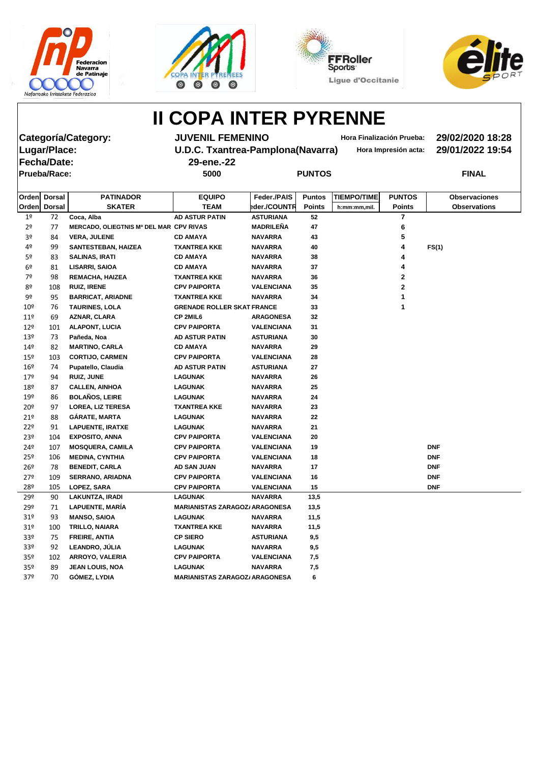







**Fecha/Date: 29-ene.-22 Prueba/Race: 5000 PUNTOS FINAL**

**Categoría/Category: JUVENIL FEMENINO Hora Finalización Prueba: 29/02/2020 18:28 Lugar/Place: U.D.C. Txantrea-Pamplona(Navarra) Hora Impresión acta: 29/01/2022 19:54**

|                 | Orden Dorsal | <b>PATINADOR</b>                        | <b>EQUIPO</b>                         | Feder./PAIS       | <b>Puntos</b> | <b>TIEMPO/TIME</b> | <b>PUNTOS</b> | <b>Observaciones</b> |
|-----------------|--------------|-----------------------------------------|---------------------------------------|-------------------|---------------|--------------------|---------------|----------------------|
|                 | Orden Dorsal | <b>SKATER</b>                           | <b>TEAM</b>                           | eder./COUNTR      | <b>Points</b> | h:mm:mm,mil.       | <b>Points</b> | <b>Observations</b>  |
| 1 <sup>°</sup>  | 72           | Coca, Alba                              | <b>AD ASTUR PATIN</b>                 | <b>ASTURIANA</b>  | 52            |                    | 7             |                      |
| 2 <sup>o</sup>  | 77           | MERCADO, OLIEGTNIS Mª DEL MAR CPV RIVAS |                                       | <b>MADRILEÑA</b>  | 47            |                    | 6             |                      |
| 3 <sup>o</sup>  | 84           | <b>VERA, JULENE</b>                     | <b>CD AMAYA</b>                       | <b>NAVARRA</b>    | 43            |                    | 5             |                      |
| 4º              | 99           | <b>SANTESTEBAN, HAIZEA</b>              | <b>TXANTREA KKE</b>                   | <b>NAVARRA</b>    | 40            |                    | 4             | FS(1)                |
| 5º              | 83           | <b>SALINAS, IRATI</b>                   | <b>CD AMAYA</b>                       | <b>NAVARRA</b>    | 38            |                    | 4             |                      |
| 6 <sup>°</sup>  | 81           | <b>LISARRI, SAIOA</b>                   | <b>CD AMAYA</b>                       | <b>NAVARRA</b>    | 37            |                    |               |                      |
| 7º              | 98           | REMACHA, HAIZEA                         | <b>TXANTREA KKE</b>                   | <b>NAVARRA</b>    | 36            |                    | $\mathbf{2}$  |                      |
| 8º              | 108          | <b>RUIZ, IRENE</b>                      | <b>CPV PAIPORTA</b>                   | <b>VALENCIANA</b> | 35            |                    | $\mathbf{2}$  |                      |
| 9º              | 95           | <b>BARRICAT, ARIADNE</b>                | <b>TXANTREA KKE</b>                   | <b>NAVARRA</b>    | 34            |                    |               |                      |
| 10 <sup>°</sup> | 76           | <b>TAURINES, LOLA</b>                   | <b>GRENADE ROLLER SKAT FRANCE</b>     |                   | 33            |                    | 1             |                      |
| $11^{\circ}$    | 69           | AZNAR, CLARA                            | <b>CP 2MIL6</b>                       | <b>ARAGONESA</b>  | 32            |                    |               |                      |
| $12^{\circ}$    | 101          | <b>ALAPONT, LUCIA</b>                   | <b>CPV PAIPORTA</b>                   | <b>VALENCIANA</b> | 31            |                    |               |                      |
| 13 <sup>°</sup> | 73           | Pañeda, Noa                             | <b>AD ASTUR PATIN</b>                 | <b>ASTURIANA</b>  | 30            |                    |               |                      |
| 14º             | 82           | <b>MARTINO, CARLA</b>                   | <b>CD AMAYA</b>                       | <b>NAVARRA</b>    | 29            |                    |               |                      |
| $15^{\circ}$    | 103          | <b>CORTIJO, CARMEN</b>                  | <b>CPV PAIPORTA</b>                   | <b>VALENCIANA</b> | 28            |                    |               |                      |
| $16^{\circ}$    | 74           | Pupatello, Claudia                      | <b>AD ASTUR PATIN</b>                 | <b>ASTURIANA</b>  | 27            |                    |               |                      |
| 17º             | 94           | <b>RUIZ, JUNE</b>                       | <b>LAGUNAK</b>                        | <b>NAVARRA</b>    | 26            |                    |               |                      |
| 18º             | 87           | <b>CALLEN, AINHOA</b>                   | <b>LAGUNAK</b>                        | <b>NAVARRA</b>    | 25            |                    |               |                      |
| 19º             | 86           | <b>BOLAÑOS, LEIRE</b>                   | <b>LAGUNAK</b>                        | <b>NAVARRA</b>    | 24            |                    |               |                      |
| 20 <sup>°</sup> | 97           | <b>LOREA, LIZ TERESA</b>                | <b>TXANTREA KKE</b>                   | <b>NAVARRA</b>    | 23            |                    |               |                      |
| 21°             | 88           | GÁRATE, MARTA                           | <b>LAGUNAK</b>                        | <b>NAVARRA</b>    | 22            |                    |               |                      |
| 22°             | 91           | <b>LAPUENTE, IRATXE</b>                 | <b>LAGUNAK</b>                        | <b>NAVARRA</b>    | 21            |                    |               |                      |
| 23 <sup>°</sup> | 104          | <b>EXPOSITO, ANNA</b>                   | <b>CPV PAIPORTA</b>                   | <b>VALENCIANA</b> | 20            |                    |               |                      |
| 24º             | 107          | <b>MOSQUERA, CAMILA</b>                 | <b>CPV PAIPORTA</b>                   | <b>VALENCIANA</b> | 19            |                    |               | <b>DNF</b>           |
| $25^{\circ}$    | 106          | <b>MEDINA, CYNTHIA</b>                  | <b>CPV PAIPORTA</b>                   | <b>VALENCIANA</b> | 18            |                    |               | <b>DNF</b>           |
| 26 <sup>°</sup> | 78           | <b>BENEDIT, CARLA</b>                   | AD SAN JUAN                           | <b>NAVARRA</b>    | 17            |                    |               | <b>DNF</b>           |
| 27°             | 109          | <b>SERRANO, ARIADNA</b>                 | <b>CPV PAIPORTA</b>                   | <b>VALENCIANA</b> | 16            |                    |               | <b>DNF</b>           |
| 28º             | 105          | LOPEZ, SARA                             | <b>CPV PAIPORTA</b>                   | <b>VALENCIANA</b> | 15            |                    |               | <b>DNF</b>           |
| 29º             | 90           | <b>LAKUNTZA, IRADI</b>                  | <b>LAGUNAK</b>                        | <b>NAVARRA</b>    | 13,5          |                    |               |                      |
| 29º             | 71           | LAPUENTE, MARÍA                         | <b>MARIANISTAS ZARAGOZ/ ARAGONESA</b> |                   | 13,5          |                    |               |                      |
| 31 <sup>o</sup> | 93           | <b>MANSO, SAIOA</b>                     | <b>LAGUNAK</b>                        | <b>NAVARRA</b>    | 11,5          |                    |               |                      |
| 31 <sup>°</sup> | 100          | <b>TRILLO, NAIARA</b>                   | <b>TXANTREA KKE</b>                   | <b>NAVARRA</b>    | 11,5          |                    |               |                      |
| 33 <sup>o</sup> | 75           | FREIRE, ANTIA                           | <b>CP SIERO</b>                       | <b>ASTURIANA</b>  | 9,5           |                    |               |                      |
| 33 <sup>o</sup> | 92           | LEANDRO, JÚLIA                          | <b>LAGUNAK</b>                        | <b>NAVARRA</b>    | 9,5           |                    |               |                      |
| 35 <sup>°</sup> | 102          | ARROYO, VALERIA                         | <b>CPV PAIPORTA</b>                   | <b>VALENCIANA</b> | 7,5           |                    |               |                      |
| 35 <sup>o</sup> | 89           | <b>JEAN LOUIS, NOA</b>                  | <b>LAGUNAK</b>                        | <b>NAVARRA</b>    | 7,5           |                    |               |                      |
| 37 <sup>°</sup> | 70           | GÓMEZ, LYDIA                            | <b>MARIANISTAS ZARAGOZ/ ARAGONESA</b> |                   | 6             |                    |               |                      |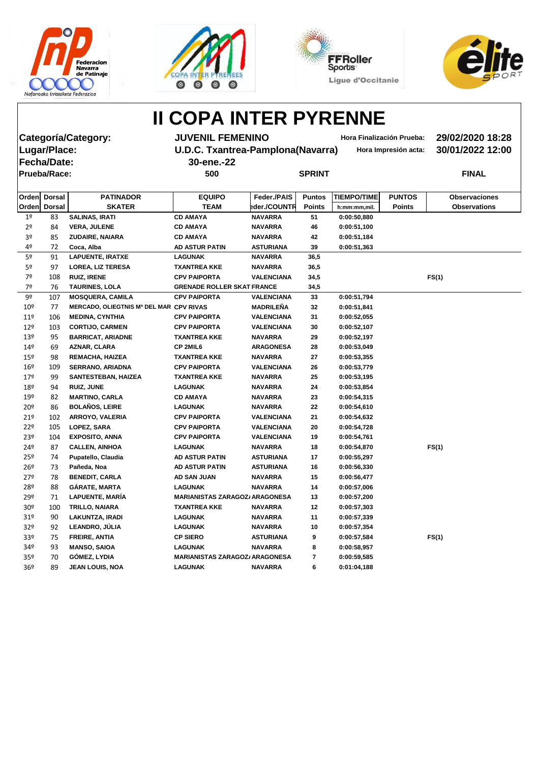







Fecha/Date: 30-energy and 30-energy and 30-energy and 30-energy and 30-energy and 30-energy and 30-energy and 30-**Prueba/Race: 500 SPRINT FINAL**

**Categoría/Category: JUVENIL FEMENINO Hora Finalización Prueba: 29/02/2020 18:28 Lugar/Place: U.D.C. Txantrea-Pamplona(Navarra) Hora Impresión acta: 30/01/2022 12:00**

| <b>80-ene.-22</b> |  |  |
|-------------------|--|--|
|                   |  |  |

| <b>Javarra)</b> | Hora Im |
|-----------------|---------|
|-----------------|---------|

| <b>SKATER</b><br><b>TEAM</b><br>eder./COUNTR<br>Orden<br><b>Dorsal</b><br><b>Observations</b><br><b>Points</b><br><b>Points</b><br>h:mm:mm,mil.<br><b>CD AMAYA</b><br>83<br><b>SALINAS, IRATI</b><br><b>NAVARRA</b><br>1 <sup>°</sup><br>51<br>0:00:50,880<br>2 <sup>o</sup><br><b>CD AMAYA</b><br>84<br><b>VERA, JULENE</b><br><b>NAVARRA</b><br>46<br>0:00:51,100<br>3 <sup>o</sup><br>85<br>42<br><b>ZUDAIRE, NAIARA</b><br><b>CD AMAYA</b><br><b>NAVARRA</b><br>0:00:51,184<br>4º<br>72<br><b>AD ASTUR PATIN</b><br>Coca, Alba<br><b>ASTURIANA</b><br>39<br>0:00:51,363<br>5 <sup>o</sup><br><b>LAPUENTE, IRATXE</b><br>91<br><b>LAGUNAK</b><br><b>NAVARRA</b><br>36,5<br>5 <sup>o</sup><br>36,5<br>97<br><b>LOREA, LIZ TERESA</b><br><b>TXANTREA KKE</b><br><b>NAVARRA</b><br>7º<br>108<br>FS(1)<br><b>RUIZ, IRENE</b><br><b>CPV PAIPORTA</b><br><b>VALENCIANA</b><br>34,5<br>7º<br>76<br><b>TAURINES, LOLA</b><br>34,5<br><b>GRENADE ROLLER SKAT FRANCE</b><br>9º<br><b>CPV PAIPORTA</b><br>107<br><b>MOSQUERA, CAMILA</b><br><b>VALENCIANA</b><br>33<br>0:00:51,794<br><b>MADRILEÑA</b><br>MERCADO, OLIEGTNIS Mª DEL MAR CPV RIVAS<br>$10^{\circ}$<br>32<br>0:00:51,841<br>77<br>11 <sup>°</sup><br>106<br><b>MEDINA, CYNTHIA</b><br><b>CPV PAIPORTA</b><br><b>VALENCIANA</b><br>31<br>0:00:52,055<br>12 <sup>°</sup><br>103<br><b>CORTIJO, CARMEN</b><br><b>CPV PAIPORTA</b><br><b>VALENCIANA</b><br>30<br>0:00:52,107<br>13 <sup>°</sup><br>95<br><b>BARRICAT, ARIADNE</b><br><b>TXANTREA KKE</b><br><b>NAVARRA</b><br>29<br>0:00:52,197<br>AZNAR, CLARA<br>CP 2MIL6<br>14 <sup>°</sup><br>69<br><b>ARAGONESA</b><br>28<br>0:00:53,049<br>$15^{\circ}$<br>98<br>REMACHA, HAIZEA<br><b>TXANTREA KKE</b><br><b>NAVARRA</b><br>27<br>0:00:53,355<br>$16^{\circ}$<br>109<br><b>CPV PAIPORTA</b><br><b>VALENCIANA</b><br><b>SERRANO, ARIADNA</b><br>26<br>0:00:53,779<br>179<br>99<br><b>TXANTREA KKE</b><br>25<br><b>SANTESTEBAN, HAIZEA</b><br><b>NAVARRA</b><br>0:00:53,195<br>24<br>18º<br>94<br><b>RUIZ, JUNE</b><br><b>LAGUNAK</b><br><b>NAVARRA</b><br>0:00:53,854<br>19º<br><b>MARTINO, CARLA</b><br>23<br>82<br><b>CD AMAYA</b><br><b>NAVARRA</b><br>0:00:54,315<br><b>BOLAÑOS, LEIRE</b><br>20 <sup>°</sup><br>86<br><b>LAGUNAK</b><br><b>NAVARRA</b><br>22<br>0:00:54,610<br>21°<br>102<br><b>ARROYO, VALERIA</b><br><b>CPV PAIPORTA</b><br><b>VALENCIANA</b><br>21<br>0:00:54,632<br>22°<br>105<br>LOPEZ, SARA<br><b>CPV PAIPORTA</b><br><b>VALENCIANA</b><br>20<br>0:00:54,728<br>23º<br>104<br><b>EXPOSITO, ANNA</b><br><b>CPV PAIPORTA</b><br><b>VALENCIANA</b><br>19<br>0:00:54,761<br>24º<br>87<br><b>CALLEN, AINHOA</b><br><b>LAGUNAK</b><br><b>NAVARRA</b><br>18<br>0:00:54,870<br>FS(1)<br>Pupatello, Claudia<br>$25^{\circ}$<br><b>AD ASTUR PATIN</b><br><b>ASTURIANA</b><br>17<br>0:00:55,297<br>74<br>26 <sup>°</sup><br><b>AD ASTUR PATIN</b><br>73<br>Pañeda, Noa<br><b>ASTURIANA</b><br>16<br>0:00:56,330<br>$27^{\circ}$<br>78<br><b>BENEDIT, CARLA</b><br>AD SAN JUAN<br><b>NAVARRA</b><br>15<br>0:00:56,477<br>28º<br>88<br><b>GÁRATE, MARTA</b><br><b>LAGUNAK</b><br><b>NAVARRA</b><br>14<br>0:00:57,006<br>29º<br>$71\,$<br>LAPUENTE, MARÍA<br><b>MARIANISTAS ZARAGOZ/ ARAGONESA</b><br>0:00:57,200<br>13<br>30 <sup>°</sup><br>100<br><b>TRILLO, NAIARA</b><br><b>TXANTREA KKE</b><br><b>NAVARRA</b><br>12<br>0:00:57,303<br>31 <sup>°</sup><br>90<br><b>LAKUNTZA, IRADI</b><br>11<br><b>LAGUNAK</b><br><b>NAVARRA</b><br>0:00:57,339<br>LEANDRO, JÚLIA<br>32 <sup>o</sup><br>92<br><b>NAVARRA</b><br>10<br><b>LAGUNAK</b><br>0:00:57,354<br>33º<br><b>FREIRE, ANTIA</b><br><b>CP SIERO</b><br><b>ASTURIANA</b><br>FS(1)<br>75<br>9<br>0:00:57,584<br>34 <sup>°</sup><br>93<br><b>MANSO, SAIOA</b><br><b>NAVARRA</b><br><b>LAGUNAK</b><br>8<br>0:00:58,957<br><b>GÓMEZ, LYDIA</b><br>35 <sup>o</sup><br><b>MARIANISTAS ZARAGOZ/ ARAGONESA</b><br>$\overline{\mathbf{7}}$<br>70<br>0:00:59,585<br>36 <sup>°</sup><br>89<br><b>JEAN LOUIS, NOA</b><br><b>LAGUNAK</b><br><b>NAVARRA</b><br>6<br>0:01:04,188 | Orden Dorsal | <b>PATINADOR</b> | <b>EQUIPO</b> | Feder./PAIS | <b>Puntos</b> | <b>TIEMPO/TIME</b> | <b>PUNTOS</b> | <b>Observaciones</b> |
|----------------------------------------------------------------------------------------------------------------------------------------------------------------------------------------------------------------------------------------------------------------------------------------------------------------------------------------------------------------------------------------------------------------------------------------------------------------------------------------------------------------------------------------------------------------------------------------------------------------------------------------------------------------------------------------------------------------------------------------------------------------------------------------------------------------------------------------------------------------------------------------------------------------------------------------------------------------------------------------------------------------------------------------------------------------------------------------------------------------------------------------------------------------------------------------------------------------------------------------------------------------------------------------------------------------------------------------------------------------------------------------------------------------------------------------------------------------------------------------------------------------------------------------------------------------------------------------------------------------------------------------------------------------------------------------------------------------------------------------------------------------------------------------------------------------------------------------------------------------------------------------------------------------------------------------------------------------------------------------------------------------------------------------------------------------------------------------------------------------------------------------------------------------------------------------------------------------------------------------------------------------------------------------------------------------------------------------------------------------------------------------------------------------------------------------------------------------------------------------------------------------------------------------------------------------------------------------------------------------------------------------------------------------------------------------------------------------------------------------------------------------------------------------------------------------------------------------------------------------------------------------------------------------------------------------------------------------------------------------------------------------------------------------------------------------------------------------------------------------------------------------------------------------------------------------------------------------------------------------------------------------------------------------------------------------------------------------------------------------------------------------------------------------------------------------------------------------------------------------------------------------------------------------------------------------------------------------------------------------------------------------------------------------------------------------------------------------------------------------------------------------------------------------------------------------------------------------------------------------------------------------------------------------------------------------------------------------------------------------------------------------------------------------------|--------------|------------------|---------------|-------------|---------------|--------------------|---------------|----------------------|
|                                                                                                                                                                                                                                                                                                                                                                                                                                                                                                                                                                                                                                                                                                                                                                                                                                                                                                                                                                                                                                                                                                                                                                                                                                                                                                                                                                                                                                                                                                                                                                                                                                                                                                                                                                                                                                                                                                                                                                                                                                                                                                                                                                                                                                                                                                                                                                                                                                                                                                                                                                                                                                                                                                                                                                                                                                                                                                                                                                                                                                                                                                                                                                                                                                                                                                                                                                                                                                                                                                                                                                                                                                                                                                                                                                                                                                                                                                                                                                                                                                              |              |                  |               |             |               |                    |               |                      |
|                                                                                                                                                                                                                                                                                                                                                                                                                                                                                                                                                                                                                                                                                                                                                                                                                                                                                                                                                                                                                                                                                                                                                                                                                                                                                                                                                                                                                                                                                                                                                                                                                                                                                                                                                                                                                                                                                                                                                                                                                                                                                                                                                                                                                                                                                                                                                                                                                                                                                                                                                                                                                                                                                                                                                                                                                                                                                                                                                                                                                                                                                                                                                                                                                                                                                                                                                                                                                                                                                                                                                                                                                                                                                                                                                                                                                                                                                                                                                                                                                                              |              |                  |               |             |               |                    |               |                      |
|                                                                                                                                                                                                                                                                                                                                                                                                                                                                                                                                                                                                                                                                                                                                                                                                                                                                                                                                                                                                                                                                                                                                                                                                                                                                                                                                                                                                                                                                                                                                                                                                                                                                                                                                                                                                                                                                                                                                                                                                                                                                                                                                                                                                                                                                                                                                                                                                                                                                                                                                                                                                                                                                                                                                                                                                                                                                                                                                                                                                                                                                                                                                                                                                                                                                                                                                                                                                                                                                                                                                                                                                                                                                                                                                                                                                                                                                                                                                                                                                                                              |              |                  |               |             |               |                    |               |                      |
|                                                                                                                                                                                                                                                                                                                                                                                                                                                                                                                                                                                                                                                                                                                                                                                                                                                                                                                                                                                                                                                                                                                                                                                                                                                                                                                                                                                                                                                                                                                                                                                                                                                                                                                                                                                                                                                                                                                                                                                                                                                                                                                                                                                                                                                                                                                                                                                                                                                                                                                                                                                                                                                                                                                                                                                                                                                                                                                                                                                                                                                                                                                                                                                                                                                                                                                                                                                                                                                                                                                                                                                                                                                                                                                                                                                                                                                                                                                                                                                                                                              |              |                  |               |             |               |                    |               |                      |
|                                                                                                                                                                                                                                                                                                                                                                                                                                                                                                                                                                                                                                                                                                                                                                                                                                                                                                                                                                                                                                                                                                                                                                                                                                                                                                                                                                                                                                                                                                                                                                                                                                                                                                                                                                                                                                                                                                                                                                                                                                                                                                                                                                                                                                                                                                                                                                                                                                                                                                                                                                                                                                                                                                                                                                                                                                                                                                                                                                                                                                                                                                                                                                                                                                                                                                                                                                                                                                                                                                                                                                                                                                                                                                                                                                                                                                                                                                                                                                                                                                              |              |                  |               |             |               |                    |               |                      |
|                                                                                                                                                                                                                                                                                                                                                                                                                                                                                                                                                                                                                                                                                                                                                                                                                                                                                                                                                                                                                                                                                                                                                                                                                                                                                                                                                                                                                                                                                                                                                                                                                                                                                                                                                                                                                                                                                                                                                                                                                                                                                                                                                                                                                                                                                                                                                                                                                                                                                                                                                                                                                                                                                                                                                                                                                                                                                                                                                                                                                                                                                                                                                                                                                                                                                                                                                                                                                                                                                                                                                                                                                                                                                                                                                                                                                                                                                                                                                                                                                                              |              |                  |               |             |               |                    |               |                      |
|                                                                                                                                                                                                                                                                                                                                                                                                                                                                                                                                                                                                                                                                                                                                                                                                                                                                                                                                                                                                                                                                                                                                                                                                                                                                                                                                                                                                                                                                                                                                                                                                                                                                                                                                                                                                                                                                                                                                                                                                                                                                                                                                                                                                                                                                                                                                                                                                                                                                                                                                                                                                                                                                                                                                                                                                                                                                                                                                                                                                                                                                                                                                                                                                                                                                                                                                                                                                                                                                                                                                                                                                                                                                                                                                                                                                                                                                                                                                                                                                                                              |              |                  |               |             |               |                    |               |                      |
|                                                                                                                                                                                                                                                                                                                                                                                                                                                                                                                                                                                                                                                                                                                                                                                                                                                                                                                                                                                                                                                                                                                                                                                                                                                                                                                                                                                                                                                                                                                                                                                                                                                                                                                                                                                                                                                                                                                                                                                                                                                                                                                                                                                                                                                                                                                                                                                                                                                                                                                                                                                                                                                                                                                                                                                                                                                                                                                                                                                                                                                                                                                                                                                                                                                                                                                                                                                                                                                                                                                                                                                                                                                                                                                                                                                                                                                                                                                                                                                                                                              |              |                  |               |             |               |                    |               |                      |
|                                                                                                                                                                                                                                                                                                                                                                                                                                                                                                                                                                                                                                                                                                                                                                                                                                                                                                                                                                                                                                                                                                                                                                                                                                                                                                                                                                                                                                                                                                                                                                                                                                                                                                                                                                                                                                                                                                                                                                                                                                                                                                                                                                                                                                                                                                                                                                                                                                                                                                                                                                                                                                                                                                                                                                                                                                                                                                                                                                                                                                                                                                                                                                                                                                                                                                                                                                                                                                                                                                                                                                                                                                                                                                                                                                                                                                                                                                                                                                                                                                              |              |                  |               |             |               |                    |               |                      |
|                                                                                                                                                                                                                                                                                                                                                                                                                                                                                                                                                                                                                                                                                                                                                                                                                                                                                                                                                                                                                                                                                                                                                                                                                                                                                                                                                                                                                                                                                                                                                                                                                                                                                                                                                                                                                                                                                                                                                                                                                                                                                                                                                                                                                                                                                                                                                                                                                                                                                                                                                                                                                                                                                                                                                                                                                                                                                                                                                                                                                                                                                                                                                                                                                                                                                                                                                                                                                                                                                                                                                                                                                                                                                                                                                                                                                                                                                                                                                                                                                                              |              |                  |               |             |               |                    |               |                      |
|                                                                                                                                                                                                                                                                                                                                                                                                                                                                                                                                                                                                                                                                                                                                                                                                                                                                                                                                                                                                                                                                                                                                                                                                                                                                                                                                                                                                                                                                                                                                                                                                                                                                                                                                                                                                                                                                                                                                                                                                                                                                                                                                                                                                                                                                                                                                                                                                                                                                                                                                                                                                                                                                                                                                                                                                                                                                                                                                                                                                                                                                                                                                                                                                                                                                                                                                                                                                                                                                                                                                                                                                                                                                                                                                                                                                                                                                                                                                                                                                                                              |              |                  |               |             |               |                    |               |                      |
|                                                                                                                                                                                                                                                                                                                                                                                                                                                                                                                                                                                                                                                                                                                                                                                                                                                                                                                                                                                                                                                                                                                                                                                                                                                                                                                                                                                                                                                                                                                                                                                                                                                                                                                                                                                                                                                                                                                                                                                                                                                                                                                                                                                                                                                                                                                                                                                                                                                                                                                                                                                                                                                                                                                                                                                                                                                                                                                                                                                                                                                                                                                                                                                                                                                                                                                                                                                                                                                                                                                                                                                                                                                                                                                                                                                                                                                                                                                                                                                                                                              |              |                  |               |             |               |                    |               |                      |
|                                                                                                                                                                                                                                                                                                                                                                                                                                                                                                                                                                                                                                                                                                                                                                                                                                                                                                                                                                                                                                                                                                                                                                                                                                                                                                                                                                                                                                                                                                                                                                                                                                                                                                                                                                                                                                                                                                                                                                                                                                                                                                                                                                                                                                                                                                                                                                                                                                                                                                                                                                                                                                                                                                                                                                                                                                                                                                                                                                                                                                                                                                                                                                                                                                                                                                                                                                                                                                                                                                                                                                                                                                                                                                                                                                                                                                                                                                                                                                                                                                              |              |                  |               |             |               |                    |               |                      |
|                                                                                                                                                                                                                                                                                                                                                                                                                                                                                                                                                                                                                                                                                                                                                                                                                                                                                                                                                                                                                                                                                                                                                                                                                                                                                                                                                                                                                                                                                                                                                                                                                                                                                                                                                                                                                                                                                                                                                                                                                                                                                                                                                                                                                                                                                                                                                                                                                                                                                                                                                                                                                                                                                                                                                                                                                                                                                                                                                                                                                                                                                                                                                                                                                                                                                                                                                                                                                                                                                                                                                                                                                                                                                                                                                                                                                                                                                                                                                                                                                                              |              |                  |               |             |               |                    |               |                      |
|                                                                                                                                                                                                                                                                                                                                                                                                                                                                                                                                                                                                                                                                                                                                                                                                                                                                                                                                                                                                                                                                                                                                                                                                                                                                                                                                                                                                                                                                                                                                                                                                                                                                                                                                                                                                                                                                                                                                                                                                                                                                                                                                                                                                                                                                                                                                                                                                                                                                                                                                                                                                                                                                                                                                                                                                                                                                                                                                                                                                                                                                                                                                                                                                                                                                                                                                                                                                                                                                                                                                                                                                                                                                                                                                                                                                                                                                                                                                                                                                                                              |              |                  |               |             |               |                    |               |                      |
|                                                                                                                                                                                                                                                                                                                                                                                                                                                                                                                                                                                                                                                                                                                                                                                                                                                                                                                                                                                                                                                                                                                                                                                                                                                                                                                                                                                                                                                                                                                                                                                                                                                                                                                                                                                                                                                                                                                                                                                                                                                                                                                                                                                                                                                                                                                                                                                                                                                                                                                                                                                                                                                                                                                                                                                                                                                                                                                                                                                                                                                                                                                                                                                                                                                                                                                                                                                                                                                                                                                                                                                                                                                                                                                                                                                                                                                                                                                                                                                                                                              |              |                  |               |             |               |                    |               |                      |
|                                                                                                                                                                                                                                                                                                                                                                                                                                                                                                                                                                                                                                                                                                                                                                                                                                                                                                                                                                                                                                                                                                                                                                                                                                                                                                                                                                                                                                                                                                                                                                                                                                                                                                                                                                                                                                                                                                                                                                                                                                                                                                                                                                                                                                                                                                                                                                                                                                                                                                                                                                                                                                                                                                                                                                                                                                                                                                                                                                                                                                                                                                                                                                                                                                                                                                                                                                                                                                                                                                                                                                                                                                                                                                                                                                                                                                                                                                                                                                                                                                              |              |                  |               |             |               |                    |               |                      |
|                                                                                                                                                                                                                                                                                                                                                                                                                                                                                                                                                                                                                                                                                                                                                                                                                                                                                                                                                                                                                                                                                                                                                                                                                                                                                                                                                                                                                                                                                                                                                                                                                                                                                                                                                                                                                                                                                                                                                                                                                                                                                                                                                                                                                                                                                                                                                                                                                                                                                                                                                                                                                                                                                                                                                                                                                                                                                                                                                                                                                                                                                                                                                                                                                                                                                                                                                                                                                                                                                                                                                                                                                                                                                                                                                                                                                                                                                                                                                                                                                                              |              |                  |               |             |               |                    |               |                      |
|                                                                                                                                                                                                                                                                                                                                                                                                                                                                                                                                                                                                                                                                                                                                                                                                                                                                                                                                                                                                                                                                                                                                                                                                                                                                                                                                                                                                                                                                                                                                                                                                                                                                                                                                                                                                                                                                                                                                                                                                                                                                                                                                                                                                                                                                                                                                                                                                                                                                                                                                                                                                                                                                                                                                                                                                                                                                                                                                                                                                                                                                                                                                                                                                                                                                                                                                                                                                                                                                                                                                                                                                                                                                                                                                                                                                                                                                                                                                                                                                                                              |              |                  |               |             |               |                    |               |                      |
|                                                                                                                                                                                                                                                                                                                                                                                                                                                                                                                                                                                                                                                                                                                                                                                                                                                                                                                                                                                                                                                                                                                                                                                                                                                                                                                                                                                                                                                                                                                                                                                                                                                                                                                                                                                                                                                                                                                                                                                                                                                                                                                                                                                                                                                                                                                                                                                                                                                                                                                                                                                                                                                                                                                                                                                                                                                                                                                                                                                                                                                                                                                                                                                                                                                                                                                                                                                                                                                                                                                                                                                                                                                                                                                                                                                                                                                                                                                                                                                                                                              |              |                  |               |             |               |                    |               |                      |
|                                                                                                                                                                                                                                                                                                                                                                                                                                                                                                                                                                                                                                                                                                                                                                                                                                                                                                                                                                                                                                                                                                                                                                                                                                                                                                                                                                                                                                                                                                                                                                                                                                                                                                                                                                                                                                                                                                                                                                                                                                                                                                                                                                                                                                                                                                                                                                                                                                                                                                                                                                                                                                                                                                                                                                                                                                                                                                                                                                                                                                                                                                                                                                                                                                                                                                                                                                                                                                                                                                                                                                                                                                                                                                                                                                                                                                                                                                                                                                                                                                              |              |                  |               |             |               |                    |               |                      |
|                                                                                                                                                                                                                                                                                                                                                                                                                                                                                                                                                                                                                                                                                                                                                                                                                                                                                                                                                                                                                                                                                                                                                                                                                                                                                                                                                                                                                                                                                                                                                                                                                                                                                                                                                                                                                                                                                                                                                                                                                                                                                                                                                                                                                                                                                                                                                                                                                                                                                                                                                                                                                                                                                                                                                                                                                                                                                                                                                                                                                                                                                                                                                                                                                                                                                                                                                                                                                                                                                                                                                                                                                                                                                                                                                                                                                                                                                                                                                                                                                                              |              |                  |               |             |               |                    |               |                      |
|                                                                                                                                                                                                                                                                                                                                                                                                                                                                                                                                                                                                                                                                                                                                                                                                                                                                                                                                                                                                                                                                                                                                                                                                                                                                                                                                                                                                                                                                                                                                                                                                                                                                                                                                                                                                                                                                                                                                                                                                                                                                                                                                                                                                                                                                                                                                                                                                                                                                                                                                                                                                                                                                                                                                                                                                                                                                                                                                                                                                                                                                                                                                                                                                                                                                                                                                                                                                                                                                                                                                                                                                                                                                                                                                                                                                                                                                                                                                                                                                                                              |              |                  |               |             |               |                    |               |                      |
|                                                                                                                                                                                                                                                                                                                                                                                                                                                                                                                                                                                                                                                                                                                                                                                                                                                                                                                                                                                                                                                                                                                                                                                                                                                                                                                                                                                                                                                                                                                                                                                                                                                                                                                                                                                                                                                                                                                                                                                                                                                                                                                                                                                                                                                                                                                                                                                                                                                                                                                                                                                                                                                                                                                                                                                                                                                                                                                                                                                                                                                                                                                                                                                                                                                                                                                                                                                                                                                                                                                                                                                                                                                                                                                                                                                                                                                                                                                                                                                                                                              |              |                  |               |             |               |                    |               |                      |
|                                                                                                                                                                                                                                                                                                                                                                                                                                                                                                                                                                                                                                                                                                                                                                                                                                                                                                                                                                                                                                                                                                                                                                                                                                                                                                                                                                                                                                                                                                                                                                                                                                                                                                                                                                                                                                                                                                                                                                                                                                                                                                                                                                                                                                                                                                                                                                                                                                                                                                                                                                                                                                                                                                                                                                                                                                                                                                                                                                                                                                                                                                                                                                                                                                                                                                                                                                                                                                                                                                                                                                                                                                                                                                                                                                                                                                                                                                                                                                                                                                              |              |                  |               |             |               |                    |               |                      |
|                                                                                                                                                                                                                                                                                                                                                                                                                                                                                                                                                                                                                                                                                                                                                                                                                                                                                                                                                                                                                                                                                                                                                                                                                                                                                                                                                                                                                                                                                                                                                                                                                                                                                                                                                                                                                                                                                                                                                                                                                                                                                                                                                                                                                                                                                                                                                                                                                                                                                                                                                                                                                                                                                                                                                                                                                                                                                                                                                                                                                                                                                                                                                                                                                                                                                                                                                                                                                                                                                                                                                                                                                                                                                                                                                                                                                                                                                                                                                                                                                                              |              |                  |               |             |               |                    |               |                      |
|                                                                                                                                                                                                                                                                                                                                                                                                                                                                                                                                                                                                                                                                                                                                                                                                                                                                                                                                                                                                                                                                                                                                                                                                                                                                                                                                                                                                                                                                                                                                                                                                                                                                                                                                                                                                                                                                                                                                                                                                                                                                                                                                                                                                                                                                                                                                                                                                                                                                                                                                                                                                                                                                                                                                                                                                                                                                                                                                                                                                                                                                                                                                                                                                                                                                                                                                                                                                                                                                                                                                                                                                                                                                                                                                                                                                                                                                                                                                                                                                                                              |              |                  |               |             |               |                    |               |                      |
|                                                                                                                                                                                                                                                                                                                                                                                                                                                                                                                                                                                                                                                                                                                                                                                                                                                                                                                                                                                                                                                                                                                                                                                                                                                                                                                                                                                                                                                                                                                                                                                                                                                                                                                                                                                                                                                                                                                                                                                                                                                                                                                                                                                                                                                                                                                                                                                                                                                                                                                                                                                                                                                                                                                                                                                                                                                                                                                                                                                                                                                                                                                                                                                                                                                                                                                                                                                                                                                                                                                                                                                                                                                                                                                                                                                                                                                                                                                                                                                                                                              |              |                  |               |             |               |                    |               |                      |
|                                                                                                                                                                                                                                                                                                                                                                                                                                                                                                                                                                                                                                                                                                                                                                                                                                                                                                                                                                                                                                                                                                                                                                                                                                                                                                                                                                                                                                                                                                                                                                                                                                                                                                                                                                                                                                                                                                                                                                                                                                                                                                                                                                                                                                                                                                                                                                                                                                                                                                                                                                                                                                                                                                                                                                                                                                                                                                                                                                                                                                                                                                                                                                                                                                                                                                                                                                                                                                                                                                                                                                                                                                                                                                                                                                                                                                                                                                                                                                                                                                              |              |                  |               |             |               |                    |               |                      |
|                                                                                                                                                                                                                                                                                                                                                                                                                                                                                                                                                                                                                                                                                                                                                                                                                                                                                                                                                                                                                                                                                                                                                                                                                                                                                                                                                                                                                                                                                                                                                                                                                                                                                                                                                                                                                                                                                                                                                                                                                                                                                                                                                                                                                                                                                                                                                                                                                                                                                                                                                                                                                                                                                                                                                                                                                                                                                                                                                                                                                                                                                                                                                                                                                                                                                                                                                                                                                                                                                                                                                                                                                                                                                                                                                                                                                                                                                                                                                                                                                                              |              |                  |               |             |               |                    |               |                      |
|                                                                                                                                                                                                                                                                                                                                                                                                                                                                                                                                                                                                                                                                                                                                                                                                                                                                                                                                                                                                                                                                                                                                                                                                                                                                                                                                                                                                                                                                                                                                                                                                                                                                                                                                                                                                                                                                                                                                                                                                                                                                                                                                                                                                                                                                                                                                                                                                                                                                                                                                                                                                                                                                                                                                                                                                                                                                                                                                                                                                                                                                                                                                                                                                                                                                                                                                                                                                                                                                                                                                                                                                                                                                                                                                                                                                                                                                                                                                                                                                                                              |              |                  |               |             |               |                    |               |                      |
|                                                                                                                                                                                                                                                                                                                                                                                                                                                                                                                                                                                                                                                                                                                                                                                                                                                                                                                                                                                                                                                                                                                                                                                                                                                                                                                                                                                                                                                                                                                                                                                                                                                                                                                                                                                                                                                                                                                                                                                                                                                                                                                                                                                                                                                                                                                                                                                                                                                                                                                                                                                                                                                                                                                                                                                                                                                                                                                                                                                                                                                                                                                                                                                                                                                                                                                                                                                                                                                                                                                                                                                                                                                                                                                                                                                                                                                                                                                                                                                                                                              |              |                  |               |             |               |                    |               |                      |
|                                                                                                                                                                                                                                                                                                                                                                                                                                                                                                                                                                                                                                                                                                                                                                                                                                                                                                                                                                                                                                                                                                                                                                                                                                                                                                                                                                                                                                                                                                                                                                                                                                                                                                                                                                                                                                                                                                                                                                                                                                                                                                                                                                                                                                                                                                                                                                                                                                                                                                                                                                                                                                                                                                                                                                                                                                                                                                                                                                                                                                                                                                                                                                                                                                                                                                                                                                                                                                                                                                                                                                                                                                                                                                                                                                                                                                                                                                                                                                                                                                              |              |                  |               |             |               |                    |               |                      |
|                                                                                                                                                                                                                                                                                                                                                                                                                                                                                                                                                                                                                                                                                                                                                                                                                                                                                                                                                                                                                                                                                                                                                                                                                                                                                                                                                                                                                                                                                                                                                                                                                                                                                                                                                                                                                                                                                                                                                                                                                                                                                                                                                                                                                                                                                                                                                                                                                                                                                                                                                                                                                                                                                                                                                                                                                                                                                                                                                                                                                                                                                                                                                                                                                                                                                                                                                                                                                                                                                                                                                                                                                                                                                                                                                                                                                                                                                                                                                                                                                                              |              |                  |               |             |               |                    |               |                      |
|                                                                                                                                                                                                                                                                                                                                                                                                                                                                                                                                                                                                                                                                                                                                                                                                                                                                                                                                                                                                                                                                                                                                                                                                                                                                                                                                                                                                                                                                                                                                                                                                                                                                                                                                                                                                                                                                                                                                                                                                                                                                                                                                                                                                                                                                                                                                                                                                                                                                                                                                                                                                                                                                                                                                                                                                                                                                                                                                                                                                                                                                                                                                                                                                                                                                                                                                                                                                                                                                                                                                                                                                                                                                                                                                                                                                                                                                                                                                                                                                                                              |              |                  |               |             |               |                    |               |                      |
|                                                                                                                                                                                                                                                                                                                                                                                                                                                                                                                                                                                                                                                                                                                                                                                                                                                                                                                                                                                                                                                                                                                                                                                                                                                                                                                                                                                                                                                                                                                                                                                                                                                                                                                                                                                                                                                                                                                                                                                                                                                                                                                                                                                                                                                                                                                                                                                                                                                                                                                                                                                                                                                                                                                                                                                                                                                                                                                                                                                                                                                                                                                                                                                                                                                                                                                                                                                                                                                                                                                                                                                                                                                                                                                                                                                                                                                                                                                                                                                                                                              |              |                  |               |             |               |                    |               |                      |
|                                                                                                                                                                                                                                                                                                                                                                                                                                                                                                                                                                                                                                                                                                                                                                                                                                                                                                                                                                                                                                                                                                                                                                                                                                                                                                                                                                                                                                                                                                                                                                                                                                                                                                                                                                                                                                                                                                                                                                                                                                                                                                                                                                                                                                                                                                                                                                                                                                                                                                                                                                                                                                                                                                                                                                                                                                                                                                                                                                                                                                                                                                                                                                                                                                                                                                                                                                                                                                                                                                                                                                                                                                                                                                                                                                                                                                                                                                                                                                                                                                              |              |                  |               |             |               |                    |               |                      |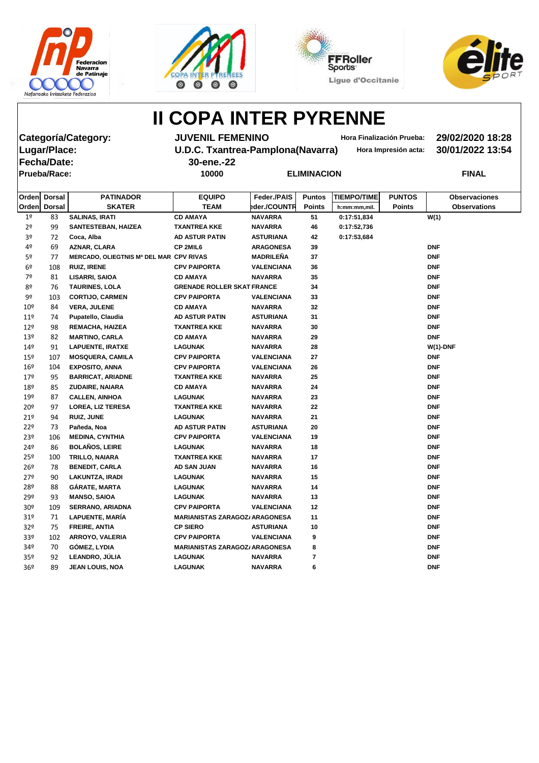







**Lugar/Place: U.D.C. Txantrea-Pamplona(Navarra) Hora Impresión acta: 30/01/2022 13:54 Fecha/Date: 30-ene.-22 Prueba/Race: 10000 ELIMINACION FINAL**

**Categoría/Category: JUVENIL FEMENINO Hora Finalización Prueba: 29/02/2020 18:28**

|                 | Orden Dorsal  | <b>PATINADOR</b>                        | <b>EQUIPO</b>                         | Feder./PAIS       | <b>Puntos</b> | <b>TIEMPO/TIME</b> | <b>PUNTOS</b> | <b>Observaciones</b> |
|-----------------|---------------|-----------------------------------------|---------------------------------------|-------------------|---------------|--------------------|---------------|----------------------|
| Orden           | <b>Dorsal</b> | <b>SKATER</b>                           | <b>TEAM</b>                           | eder./COUNTR      | <b>Points</b> | h:mm:mm,mil.       | <b>Points</b> | <b>Observations</b>  |
| 1 <sup>°</sup>  | 83            | <b>SALINAS, IRATI</b>                   | <b>CD AMAYA</b>                       | <b>NAVARRA</b>    | 51            | 0:17:51,834        |               | W(1)                 |
| 2 <sup>o</sup>  | 99            | <b>SANTESTEBAN, HAIZEA</b>              | <b>TXANTREA KKE</b>                   | <b>NAVARRA</b>    | 46            | 0:17:52,736        |               |                      |
| 3º              | 72            | Coca, Alba                              | <b>AD ASTUR PATIN</b>                 | <b>ASTURIANA</b>  | 42            | 0:17:53,684        |               |                      |
| 4º              | 69            | AZNAR, CLARA                            | CP 2MIL6                              | <b>ARAGONESA</b>  | 39            |                    |               | <b>DNF</b>           |
| 5º              | 77            | MERCADO, OLIEGTNIS Mª DEL MAR CPV RIVAS |                                       | <b>MADRILEÑA</b>  | 37            |                    |               | <b>DNF</b>           |
| 6 <sup>9</sup>  | 108           | <b>RUIZ, IRENE</b>                      | <b>CPV PAIPORTA</b>                   | <b>VALENCIANA</b> | 36            |                    |               | <b>DNF</b>           |
| 7º              | 81            | <b>LISARRI, SAIOA</b>                   | <b>CD AMAYA</b>                       | <b>NAVARRA</b>    | 35            |                    |               | <b>DNF</b>           |
| 8º              | 76            | <b>TAURINES, LOLA</b>                   | <b>GRENADE ROLLER SKAT FRANCE</b>     |                   | 34            |                    |               | <b>DNF</b>           |
| 9º              | 103           | <b>CORTIJO, CARMEN</b>                  | <b>CPV PAIPORTA</b>                   | <b>VALENCIANA</b> | 33            |                    |               | <b>DNF</b>           |
| $10^{\circ}$    | 84            | <b>VERA, JULENE</b>                     | <b>CD AMAYA</b>                       | <b>NAVARRA</b>    | 32            |                    |               | <b>DNF</b>           |
| $11^{\circ}$    | 74            | Pupatello, Claudia                      | <b>AD ASTUR PATIN</b>                 | <b>ASTURIANA</b>  | 31            |                    |               | <b>DNF</b>           |
| 12 <sup>°</sup> | 98            | <b>REMACHA, HAIZEA</b>                  | <b>TXANTREA KKE</b>                   | <b>NAVARRA</b>    | 30            |                    |               | <b>DNF</b>           |
| 13 <sup>°</sup> | 82            | <b>MARTINO, CARLA</b>                   | <b>CD AMAYA</b>                       | <b>NAVARRA</b>    | 29            |                    |               | <b>DNF</b>           |
| 14 <sup>°</sup> | 91            | <b>LAPUENTE, IRATXE</b>                 | <b>LAGUNAK</b>                        | <b>NAVARRA</b>    | 28            |                    |               | $W(1)$ -DNF          |
| $15^{\circ}$    | 107           | <b>MOSQUERA, CAMILA</b>                 | <b>CPV PAIPORTA</b>                   | <b>VALENCIANA</b> | 27            |                    |               | <b>DNF</b>           |
| $16^{\circ}$    | 104           | <b>EXPOSITO, ANNA</b>                   | <b>CPV PAIPORTA</b>                   | <b>VALENCIANA</b> | 26            |                    |               | <b>DNF</b>           |
| 179             | 95            | <b>BARRICAT, ARIADNE</b>                | <b>TXANTREA KKE</b>                   | <b>NAVARRA</b>    | 25            |                    |               | <b>DNF</b>           |
| 18º             | 85            | ZUDAIRE, NAIARA                         | <b>CD AMAYA</b>                       | <b>NAVARRA</b>    | 24            |                    |               | <b>DNF</b>           |
| 19º             | 87            | <b>CALLEN, AINHOA</b>                   | <b>LAGUNAK</b>                        | <b>NAVARRA</b>    | 23            |                    |               | <b>DNF</b>           |
| $20^{\circ}$    | 97            | <b>LOREA, LIZ TERESA</b>                | <b>TXANTREA KKE</b>                   | <b>NAVARRA</b>    | 22            |                    |               | <b>DNF</b>           |
| 21°             | 94            | <b>RUIZ, JUNE</b>                       | <b>LAGUNAK</b>                        | <b>NAVARRA</b>    | 21            |                    |               | <b>DNF</b>           |
| 22 <sup>°</sup> | 73            | Pañeda, Noa                             | <b>AD ASTUR PATIN</b>                 | <b>ASTURIANA</b>  | 20            |                    |               | <b>DNF</b>           |
| 23 <sup>°</sup> | 106           | <b>MEDINA, CYNTHIA</b>                  | <b>CPV PAIPORTA</b>                   | <b>VALENCIANA</b> | 19            |                    |               | <b>DNF</b>           |
| 24º             | 86            | <b>BOLAÑOS, LEIRE</b>                   | <b>LAGUNAK</b>                        | <b>NAVARRA</b>    | 18            |                    |               | <b>DNF</b>           |
| $25^{\circ}$    | 100           | TRILLO, NAIARA                          | <b>TXANTREA KKE</b>                   | <b>NAVARRA</b>    | 17            |                    |               | <b>DNF</b>           |
| $26^{\circ}$    | 78            | <b>BENEDIT, CARLA</b>                   | AD SAN JUAN                           | <b>NAVARRA</b>    | 16            |                    |               | <b>DNF</b>           |
| 27º             | 90            | <b>LAKUNTZA, IRADI</b>                  | <b>LAGUNAK</b>                        | <b>NAVARRA</b>    | 15            |                    |               | <b>DNF</b>           |
| 28º             | 88            | <b>GÁRATE, MARTA</b>                    | <b>LAGUNAK</b>                        | <b>NAVARRA</b>    | 14            |                    |               | <b>DNF</b>           |
| 29º             | 93            | <b>MANSO, SAIOA</b>                     | LAGUNAK                               | <b>NAVARRA</b>    | 13            |                    |               | <b>DNF</b>           |
| 30 <sup>°</sup> | 109           | <b>SERRANO, ARIADNA</b>                 | <b>CPV PAIPORTA</b>                   | <b>VALENCIANA</b> | 12            |                    |               | <b>DNF</b>           |
| 31º             | 71            | LAPUENTE, MARÍA                         | <b>MARIANISTAS ZARAGOZ/ ARAGONESA</b> |                   | 11            |                    |               | <b>DNF</b>           |
| 32 <sup>o</sup> | 75            | FREIRE, ANTIA                           | <b>CP SIERO</b>                       | <b>ASTURIANA</b>  | 10            |                    |               | <b>DNF</b>           |
| 33º             | 102           | ARROYO, VALERIA                         | <b>CPV PAIPORTA</b>                   | <b>VALENCIANA</b> | 9             |                    |               | <b>DNF</b>           |
| 34º             | 70            | <b>GÓMEZ, LYDIA</b>                     | <b>MARIANISTAS ZARAGOZ/ ARAGONESA</b> |                   | 8             |                    |               | <b>DNF</b>           |
| 35 <sup>o</sup> | 92            | LEANDRO, JÚLIA                          | <b>LAGUNAK</b>                        | <b>NAVARRA</b>    | 7             |                    |               | <b>DNF</b>           |
| 36 <sup>°</sup> | 89            | <b>JEAN LOUIS, NOA</b>                  | <b>LAGUNAK</b>                        | <b>NAVARRA</b>    | 6             |                    |               | <b>DNF</b>           |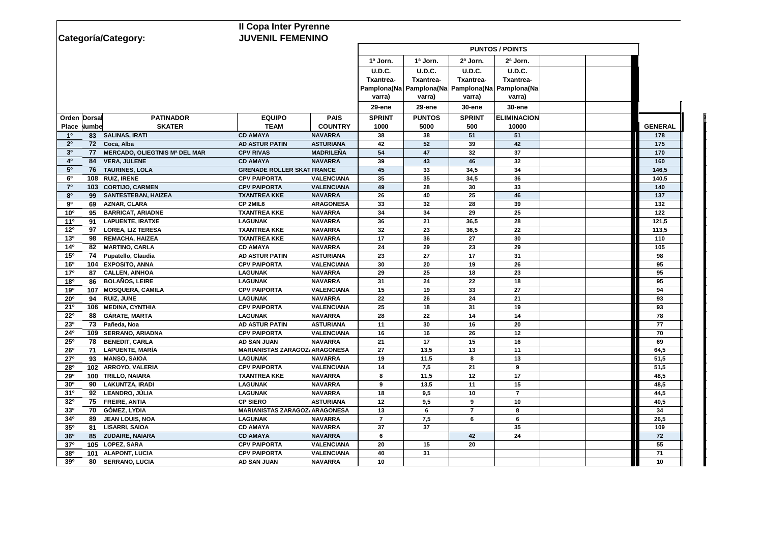|                                    |                                         | <b>Il Copa Inter Pyrenne</b>          |                                  |                |                                                       |                |                        |  |                |
|------------------------------------|-----------------------------------------|---------------------------------------|----------------------------------|----------------|-------------------------------------------------------|----------------|------------------------|--|----------------|
| Categoría/Category:                |                                         | <b>JUVENIL FEMENINO</b>               |                                  |                |                                                       |                |                        |  |                |
|                                    |                                         |                                       |                                  |                |                                                       |                | <b>PUNTOS / POINTS</b> |  |                |
|                                    |                                         |                                       |                                  | 1ª Jorn.       | 1ª Jorn.                                              | 2ª Jorn.       | 2ª Jorn.               |  |                |
|                                    |                                         |                                       |                                  | <b>U.D.C.</b>  | <b>U.D.C.</b>                                         | <b>U.D.C.</b>  | <b>U.D.C.</b>          |  |                |
|                                    |                                         |                                       |                                  | Txantrea-      | <b>Txantrea-</b>                                      | Txantrea-      | Txantrea-              |  |                |
|                                    |                                         |                                       |                                  |                | Pampiona(Na   Pampiona(Na   Pampiona(Na   Pampiona(Na |                |                        |  |                |
|                                    |                                         |                                       |                                  | varra)         | varra)                                                | varra)         | varra)                 |  |                |
|                                    |                                         |                                       |                                  | 29-ene         | 29-ene                                                | 30-ene         | <b>30-ene</b>          |  |                |
| Orden Dorsal                       | <b>PATINADOR</b>                        | <b>EQUIPO</b>                         | <b>PAIS</b>                      | <b>SPRINT</b>  | <b>PUNTOS</b>                                         | <b>SPRINT</b>  | <b>ELIMINACION</b>     |  |                |
| Place Numbe                        | <b>SKATER</b>                           | <b>TEAM</b>                           | <b>COUNTRY</b>                   | 1000           | 5000                                                  | 500            | 10000                  |  | <b>GENERAL</b> |
| 10                                 | 83 SALINAS, IRATI                       | <b>CD AMAYA</b>                       | <b>NAVARRA</b>                   | 38             | 38                                                    | 51             | 51                     |  | 178            |
| $2^{\circ}$                        | 72 Coca, Alba                           | <b>AD ASTUR PATIN</b>                 | <b>ASTURIANA</b>                 | 42             | 52                                                    | 39             | 42                     |  | 175            |
| 3 <sup>o</sup>                     | 77 MERCADO, OLIEGTNIS Mª DEL MAR        | <b>CPV RIVAS</b>                      | <b>MADRILEÑA</b>                 | 54             | 47                                                    | 32             | 37                     |  | 170            |
| 40<br>84                           | <b>VERA, JULENE</b>                     | <b>CD AMAYA</b>                       | <b>NAVARRA</b>                   | 39             | 43                                                    | 46             | 32                     |  | 160            |
| $5^{\circ}$<br>76                  | <b>TAURINES, LOLA</b>                   | <b>GRENADE ROLLER SKAT FRANCE</b>     |                                  | 45             | 33                                                    | 34,5           | 34                     |  | 146,5          |
| $6^{\circ}$                        | 108 RUIZ, IRENE                         | <b>CPV PAIPORTA</b>                   | <b>VALENCIANA</b>                | 35             | 35                                                    | 34,5           | 36                     |  | 140,5          |
| $7^\circ$                          | 103 CORTIJO, CARMEN                     | <b>CPV PAIPORTA</b>                   | <b>VALENCIANA</b>                | 49             | 28                                                    | 30             | 33                     |  | 140            |
| 8 <sup>o</sup>                     | 99 SANTESTEBAN, HAIZEA                  | <b>TXANTREA KKE</b>                   | <b>NAVARRA</b>                   | 26             | 40                                                    | 25             | 46                     |  | 137            |
| 90<br>69                           | <b>AZNAR, CLARA</b>                     | CP 2MIL6                              | <b>ARAGONESA</b>                 | 33             | 32                                                    | 28             | 39                     |  | 132            |
| 10 <sup>o</sup><br>95              | <b>BARRICAT, ARIADNE</b>                | <b>TXANTREA KKE</b>                   | <b>NAVARRA</b>                   | 34             | 34                                                    | 29             | 25                     |  | 122            |
| 11 <sup>0</sup>                    | 91 LAPUENTE, IRATXE                     | <b>LAGUNAK</b>                        | <b>NAVARRA</b>                   | 36             | 21                                                    | 36,5           | 28                     |  | 121,5          |
| 12 <sup>o</sup>                    | 97 LOREA, LIZ TERESA                    | <b>TXANTREA KKE</b>                   | <b>NAVARRA</b>                   | 32             | 23                                                    | 36,5           | 22                     |  | 113,5          |
| 13 <sup>o</sup>                    | 98 REMACHA, HAIZEA                      | <b>TXANTREA KKE</b>                   | <b>NAVARRA</b>                   | 17             | 36                                                    | 27             | 30                     |  | 110            |
| 14 <sup>0</sup>                    | 82 MARTINO, CARLA                       | <b>CD AMAYA</b>                       | <b>NAVARRA</b>                   | 24             | 29                                                    | 23             | 29                     |  | 105            |
| 15 <sup>o</sup>                    | 74 Pupatello, Claudia                   | <b>AD ASTUR PATIN</b>                 | <b>ASTURIANA</b>                 | 23             | 27                                                    | 17             | 31                     |  | 98             |
| 16 <sup>o</sup>                    | 104 EXPOSITO, ANNA                      | <b>CPV PAIPORTA</b>                   | <b>VALENCIANA</b>                | 30             | 20                                                    | 19             | 26                     |  | 95             |
| 17 <sup>o</sup>                    | 87 CALLEN, AINHOA                       | <b>LAGUNAK</b>                        | <b>NAVARRA</b>                   | 29             | 25                                                    | 18             | 23                     |  | 95             |
| 180<br>86                          | <b>BOLAÑOS, LEIRE</b>                   | <b>LAGUNAK</b>                        | <b>NAVARRA</b>                   | 31             | 24                                                    | 22             | 18                     |  | 95             |
| 190                                | 107 MOSQUERA, CAMILA                    | <b>CPV PAIPORTA</b>                   | <b>VALENCIANA</b>                | 15             | 19                                                    | 33             | 27                     |  | 94             |
| 20 <sup>o</sup>                    | 94 RUIZ, JUNE                           | <b>LAGUNAK</b>                        | <b>NAVARRA</b>                   | 22             | 26                                                    | 24             | 21                     |  | 93             |
| 21°                                | 106 MEDINA, CYNTHIA                     | <b>CPV PAIPORTA</b>                   | <b>VALENCIANA</b>                | 25             | 18                                                    | 31             | 19                     |  | 93             |
| $22^{\circ}$                       | 88 GÁRATE, MARTA                        | <b>LAGUNAK</b>                        | <b>NAVARRA</b>                   | 28             | 22                                                    | 14             | 14                     |  | 78             |
| 23 <sup>o</sup>                    | 73 Pañeda, Noa                          | <b>AD ASTUR PATIN</b>                 | <b>ASTURIANA</b>                 | 11             | 30                                                    | 16             | 20                     |  | 77             |
| 24°                                | 109 SERRANO, ARIADNA                    | <b>CPV PAIPORTA</b>                   | <b>VALENCIANA</b>                | 16             | 16                                                    | 26             | 12                     |  | 70             |
| $25^{\circ}$<br>78                 | <b>BENEDIT, CARLA</b>                   | <b>AD SAN JUAN</b>                    | <b>NAVARRA</b>                   | 21             | 17                                                    | 15             | 16                     |  | 69             |
| 26 <sup>o</sup>                    | 71 LAPUENTE, MARÍA                      | <b>MARIANISTAS ZARAGOZ/ ARAGONESA</b> |                                  | 27             | 13,5                                                  | 13             | 11                     |  | 64,5           |
| <b>27°</b>                         | 93 MANSO, SAIOA                         | <b>LAGUNAK</b>                        | <b>NAVARRA</b>                   | 19             | 11,5                                                  | 8              | 13                     |  | 51,5           |
| 280                                | 102 ARROYO, VALERIA                     | <b>CPV PAIPORTA</b>                   | <b>VALENCIANA</b>                | 14             | 7,5                                                   | 21             | 9                      |  | 51,5           |
| <b>29º</b>                         | 100 TRILLO, NAIARA                      | <b>TXANTREA KKE</b>                   | <b>NAVARRA</b>                   | 8              | 11,5                                                  | 12             | 17                     |  | 48,5           |
| 30 <sup>o</sup>                    | 90 LAKUNTZA, IRADI<br>92 LEANDRO, JÚLIA | <b>LAGUNAK</b><br><b>LAGUNAK</b>      | <b>NAVARRA</b><br><b>NAVARRA</b> | 9              | 13,5<br>9,5                                           | 11             | 15<br>$\overline{7}$   |  | 48,5           |
| 31 <sup>o</sup><br>32 <sup>o</sup> | 75 FREIRE, ANTIA                        | <b>CP SIERO</b>                       | <b>ASTURIANA</b>                 | 18<br>12       |                                                       | 10<br>9        |                        |  | 44,5           |
| 33 <sup>0</sup>                    | 70 GÓMEZ, LYDIA                         | <b>MARIANISTAS ZARAGOZ/ ARAGONESA</b> |                                  | 13             | 9,5<br>6                                              | $\overline{7}$ | 10<br>8                |  | 40,5<br>34     |
| 34 <sup>o</sup><br>89              | <b>JEAN LOUIS, NOA</b>                  | <b>LAGUNAK</b>                        | <b>NAVARRA</b>                   | $\overline{7}$ | 7,5                                                   | 6              | 6                      |  | 26,5           |
| 35 <sup>o</sup><br>81              | <b>LISARRI, SAIOA</b>                   | <b>CD AMAYA</b>                       | <b>NAVARRA</b>                   | 37             | 37                                                    |                | 35                     |  | 109            |
| 36 <sup>o</sup>                    | 85 ZUDAIRE, NAIARA                      | <b>CD AMAYA</b>                       | <b>NAVARRA</b>                   | 6              |                                                       | 42             | 24                     |  | 72             |
| 37°                                | 105 LOPEZ, SARA                         | <b>CPV PAIPORTA</b>                   | <b>VALENCIANA</b>                | 20             | 15                                                    | 20             |                        |  | 55             |
| 38 <sup>o</sup>                    | 101 ALAPONT, LUCIA                      | <b>CPV PAIPORTA</b>                   | <b>VALENCIANA</b>                | 40             | 31                                                    |                |                        |  | 71             |
| 39 <sup>o</sup>                    | 80 SERRANO, LUCIA                       | <b>AD SAN JUAN</b>                    | <b>NAVARRA</b>                   | 10             |                                                       |                |                        |  | 10             |
|                                    |                                         |                                       |                                  |                |                                                       |                |                        |  |                |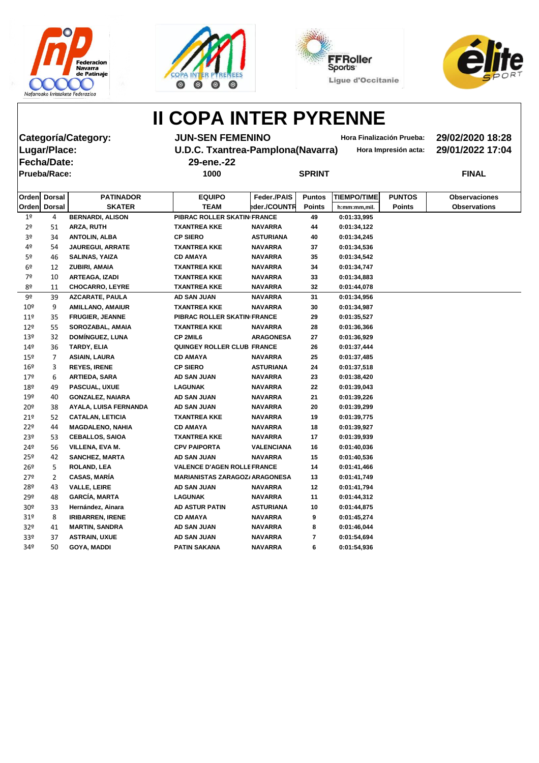







**Fecha/Date: 29-ene.-22 Prueba/Race: 1000 SPRINT FINAL**

**Categoría/Category: JUN-SEN FEMENINO Hora Finalización Prueba: 29/02/2020 18:28 Lugar/Place: U.D.C. Txantrea-Pamplona(Navarra) Hora Impresión acta: 29/01/2022 17:04**

| Orden           | <b>Dorsal</b> | <b>PATINADOR</b>        | <b>EQUIPO</b>                         | Feder./PAIS       | <b>Puntos</b> | <b>TIEMPO/TIME</b> | <b>PUNTOS</b> | <b>Observaciones</b> |
|-----------------|---------------|-------------------------|---------------------------------------|-------------------|---------------|--------------------|---------------|----------------------|
|                 | Orden Dorsal  | <b>SKATER</b>           | <b>TEAM</b>                           | eder./COUNTR      | <b>Points</b> | h:mm:mm,mil.       | <b>Points</b> | <b>Observations</b>  |
| 1 <sup>o</sup>  | 4             | <b>BERNARDI, ALISON</b> | PIBRAC ROLLER SKATIN FRANCE           |                   | 49            | 0:01:33,995        |               |                      |
| 2 <sup>o</sup>  | 51            | <b>ARZA, RUTH</b>       | <b>TXANTREA KKE</b>                   | <b>NAVARRA</b>    | 44            | 0:01:34,122        |               |                      |
| 3 <sup>o</sup>  | 34            | <b>ANTOLIN, ALBA</b>    | <b>CP SIERO</b>                       | <b>ASTURIANA</b>  | 40            | 0:01:34,245        |               |                      |
| 4º              | 54            | <b>JAUREGUI, ARRATE</b> | <b>TXANTREA KKE</b>                   | <b>NAVARRA</b>    | 37            | 0:01:34,536        |               |                      |
| 5 <sup>o</sup>  | 46            | <b>SALINAS, YAIZA</b>   | <b>CD AMAYA</b>                       | <b>NAVARRA</b>    | 35            | 0:01:34,542        |               |                      |
| 6 <sup>9</sup>  | 12            | ZUBIRI, AMAIA           | <b>TXANTREA KKE</b>                   | <b>NAVARRA</b>    | 34            | 0:01:34,747        |               |                      |
| 7º              | 10            | <b>ARTEAGA, IZADI</b>   | <b>TXANTREA KKE</b>                   | <b>NAVARRA</b>    | 33            | 0:01:34,883        |               |                      |
| 8º              | 11            | <b>CHOCARRO, LEYRE</b>  | <b>TXANTREA KKE</b>                   | <b>NAVARRA</b>    | 32            | 0:01:44,078        |               |                      |
| 9º              | 39            | <b>AZCARATE, PAULA</b>  | <b>AD SAN JUAN</b>                    | <b>NAVARRA</b>    | 31            | 0:01:34,956        |               |                      |
| 10 <sup>°</sup> | 9             | <b>AMILLANO, AMAIUR</b> | <b>TXANTREA KKE</b>                   | <b>NAVARRA</b>    | 30            | 0:01:34,987        |               |                      |
| 11 <sup>°</sup> | 35            | <b>FRUGIER, JEANNE</b>  | PIBRAC ROLLER SKATIN FRANCE           |                   | 29            | 0:01:35,527        |               |                      |
| 12 <sup>°</sup> | 55            | SOROZABAL, AMAIA        | <b>TXANTREA KKE</b>                   | <b>NAVARRA</b>    | 28            | 0:01:36,366        |               |                      |
| 13 <sup>°</sup> | 32            | DOMÍNGUEZ, LUNA         | CP 2MIL6                              | <b>ARAGONESA</b>  | 27            | 0:01:36,929        |               |                      |
| 14 <sup>°</sup> | 36            | TARDY, ELIA             | <b>QUINGEY ROLLER CLUB FRANCE</b>     |                   | 26            | 0:01:37,444        |               |                      |
| $15^{\circ}$    | 7             | <b>ASIAIN, LAURA</b>    | <b>CD AMAYA</b>                       | <b>NAVARRA</b>    | 25            | 0:01:37,485        |               |                      |
| 16 <sup>°</sup> | 3             | <b>REYES, IRENE</b>     | <b>CP SIERO</b>                       | <b>ASTURIANA</b>  | 24            | 0:01:37,518        |               |                      |
| 179             | 6             | <b>ARTIEDA, SARA</b>    | AD SAN JUAN                           | <b>NAVARRA</b>    | 23            | 0:01:38,420        |               |                      |
| 18º             | 49            | PASCUAL, UXUE           | <b>LAGUNAK</b>                        | <b>NAVARRA</b>    | 22            | 0:01:39,043        |               |                      |
| 19º             | 40            | <b>GONZALEZ, NAIARA</b> | <b>AD SAN JUAN</b>                    | <b>NAVARRA</b>    | 21            | 0:01:39,226        |               |                      |
| $20^{\circ}$    | 38            | AYALA, LUISA FERNANDA   | <b>AD SAN JUAN</b>                    | <b>NAVARRA</b>    | 20            | 0:01:39,299        |               |                      |
| 21°             | 52            | <b>CATALAN, LETICIA</b> | <b>TXANTREA KKE</b>                   | <b>NAVARRA</b>    | 19            | 0:01:39,775        |               |                      |
| 22 <sup>°</sup> | 44            | <b>MAGDALENO, NAHIA</b> | <b>CD AMAYA</b>                       | <b>NAVARRA</b>    | 18            | 0:01:39,927        |               |                      |
| 23 <sup>°</sup> | 53            | <b>CEBALLOS, SAIOA</b>  | <b>TXANTREA KKE</b>                   | <b>NAVARRA</b>    | 17            | 0:01:39,939        |               |                      |
| 24º             | 56            | VILLENA, EVA M.         | <b>CPV PAIPORTA</b>                   | <b>VALENCIANA</b> | 16            | 0:01:40,036        |               |                      |
| $25^{\circ}$    | 42            | <b>SANCHEZ, MARTA</b>   | <b>AD SAN JUAN</b>                    | <b>NAVARRA</b>    | 15            | 0:01:40,536        |               |                      |
| $26^{\circ}$    | 5             | <b>ROLAND, LEA</b>      | <b>VALENCE D'AGEN ROLLE FRANCE</b>    |                   | 14            | 0:01:41,466        |               |                      |
| 27°             | 2             | <b>CASAS, MARÍA</b>     | <b>MARIANISTAS ZARAGOZ/ ARAGONESA</b> |                   | 13            | 0:01:41,749        |               |                      |
| 28º             | 43            | <b>VALLE, LEIRE</b>     | <b>AD SAN JUAN</b>                    | <b>NAVARRA</b>    | 12            | 0:01:41,794        |               |                      |
| 29º             | 48            | <b>GARCÍA, MARTA</b>    | <b>LAGUNAK</b>                        | <b>NAVARRA</b>    | 11            | 0:01:44,312        |               |                      |
| 30 <sup>°</sup> | 33            | Hernández, Ainara       | <b>AD ASTUR PATIN</b>                 | <b>ASTURIANA</b>  | 10            | 0:01:44,875        |               |                      |
| 31 <sup>o</sup> | 8             | <b>IRIBARREN, IRENE</b> | <b>CD AMAYA</b>                       | <b>NAVARRA</b>    | 9             | 0:01:45,274        |               |                      |
| 32 <sup>o</sup> | 41            | <b>MARTIN, SANDRA</b>   | <b>AD SAN JUAN</b>                    | <b>NAVARRA</b>    | 8             | 0:01:46,044        |               |                      |
| 33 <sup>o</sup> | 37            | <b>ASTRAIN, UXUE</b>    | AD SAN JUAN                           | <b>NAVARRA</b>    | 7             | 0:01:54,694        |               |                      |
| 34º             | 50            | <b>GOYA, MADDI</b>      | <b>PATIN SAKANA</b>                   | <b>NAVARRA</b>    | 6             | 0:01:54,936        |               |                      |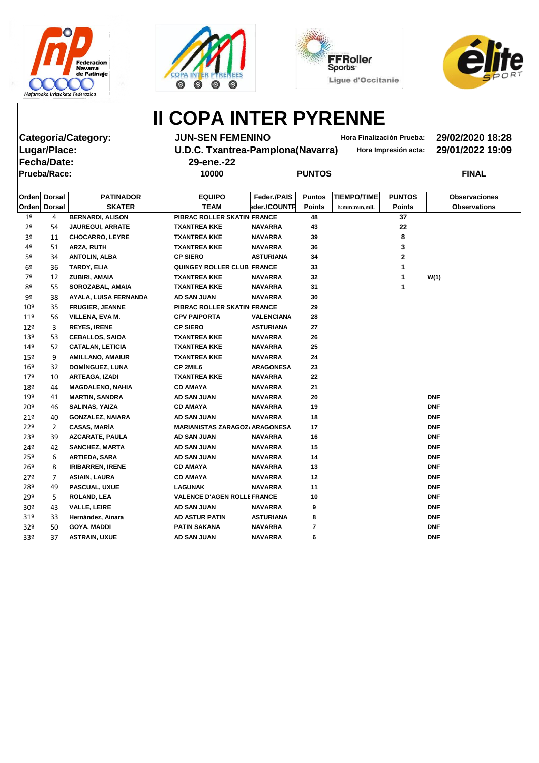







**Fecha/Date: 29-ene.-22 Prueba/Race: 10000 PUNTOS FINAL**

**Categoría/Category: JUN-SEN FEMENINO Hora Finalización Prueba: 29/02/2020 18:28 Lugar/Place: U.D.C. Txantrea-Pamplona(Navarra) Hora Impresión acta: 29/01/2022 19:09**

|                 | Orden Dorsal  | <b>PATINADOR</b>        | <b>EQUIPO</b>                         | Feder./PAIS       | <b>Puntos</b> | <b>TIEMPO/TIME</b> | <b>PUNTOS</b>           | <b>Observaciones</b> |
|-----------------|---------------|-------------------------|---------------------------------------|-------------------|---------------|--------------------|-------------------------|----------------------|
| Orden           | <b>Dorsal</b> | <b>SKATER</b>           | <b>TEAM</b>                           | eder./COUNTR      | <b>Points</b> | h:mm:mm,mil.       | <b>Points</b>           | <b>Observations</b>  |
| 1 <sup>o</sup>  | 4             | <b>BERNARDI, ALISON</b> | PIBRAC ROLLER SKATIN FRANCE           |                   | 48            |                    | 37                      |                      |
| 2 <sup>o</sup>  | 54            | <b>JAUREGUI, ARRATE</b> | TXANTREA KKE                          | <b>NAVARRA</b>    | 43            |                    | 22                      |                      |
| 3º              | 11            | <b>CHOCARRO, LEYRE</b>  | <b>TXANTREA KKE</b>                   | <b>NAVARRA</b>    | 39            |                    | 8                       |                      |
| 4º              | 51            | ARZA, RUTH              | <b>TXANTREA KKE</b>                   | <b>NAVARRA</b>    | 36            |                    | 3                       |                      |
| 5º              | 34            | <b>ANTOLIN, ALBA</b>    | <b>CP SIERO</b>                       | <b>ASTURIANA</b>  | 34            |                    | $\overline{\mathbf{2}}$ |                      |
| 6 <sup>°</sup>  | 36            | TARDY, ELIA             | QUINGEY ROLLER CLUB FRANCE            |                   | 33            |                    | 1                       |                      |
| 7º              | 12            | ZUBIRI, AMAIA           | <b>TXANTREA KKE</b>                   | <b>NAVARRA</b>    | 32            |                    | 1                       | W(1)                 |
| 8º              | 55            | SOROZABAL, AMAIA        | <b>TXANTREA KKE</b>                   | <b>NAVARRA</b>    | 31            |                    | 1                       |                      |
| 9º              | 38            | AYALA, LUISA FERNANDA   | AD SAN JUAN                           | <b>NAVARRA</b>    | 30            |                    |                         |                      |
| 10 <sup>°</sup> | 35            | <b>FRUGIER, JEANNE</b>  | PIBRAC ROLLER SKATIN FRANCE           |                   | 29            |                    |                         |                      |
| $11^{\circ}$    | 56            | VILLENA, EVA M.         | <b>CPV PAIPORTA</b>                   | <b>VALENCIANA</b> | 28            |                    |                         |                      |
| $12^{\circ}$    | 3             | <b>REYES, IRENE</b>     | <b>CP SIERO</b>                       | <b>ASTURIANA</b>  | 27            |                    |                         |                      |
| 13 <sup>°</sup> | 53            | <b>CEBALLOS, SAIOA</b>  | TXANTREA KKE                          | <b>NAVARRA</b>    | 26            |                    |                         |                      |
| 149             | 52            | <b>CATALAN, LETICIA</b> | <b>TXANTREA KKE</b>                   | <b>NAVARRA</b>    | 25            |                    |                         |                      |
| 15º             | 9             | <b>AMILLANO, AMAIUR</b> | <b>TXANTREA KKE</b>                   | <b>NAVARRA</b>    | 24            |                    |                         |                      |
| 16 <sup>°</sup> | 32            | <b>DOMÍNGUEZ, LUNA</b>  | CP 2MIL6                              | <b>ARAGONESA</b>  | 23            |                    |                         |                      |
| 17 <sup>°</sup> | 10            | <b>ARTEAGA, IZADI</b>   | TXANTREA KKE                          | <b>NAVARRA</b>    | 22            |                    |                         |                      |
| 18º             | 44            | <b>MAGDALENO, NAHIA</b> | <b>CD AMAYA</b>                       | <b>NAVARRA</b>    | 21            |                    |                         |                      |
| 19º             | 41            | <b>MARTIN, SANDRA</b>   | AD SAN JUAN                           | <b>NAVARRA</b>    | 20            |                    |                         | <b>DNF</b>           |
| 20 <sup>o</sup> | 46            | <b>SALINAS, YAIZA</b>   | <b>CD AMAYA</b>                       | <b>NAVARRA</b>    | 19            |                    |                         | <b>DNF</b>           |
| 21°             | 40            | <b>GONZALEZ, NAIARA</b> | AD SAN JUAN                           | NAVARRA           | 18            |                    |                         | <b>DNF</b>           |
| 22°             | 2             | <b>CASAS, MARÍA</b>     | <b>MARIANISTAS ZARAGOZ/ ARAGONESA</b> |                   | 17            |                    |                         | <b>DNF</b>           |
| 23º             | 39            | <b>AZCARATE, PAULA</b>  | AD SAN JUAN                           | <b>NAVARRA</b>    | 16            |                    |                         | <b>DNF</b>           |
| 24º             | 42            | <b>SANCHEZ, MARTA</b>   | AD SAN JUAN                           | <b>NAVARRA</b>    | 15            |                    |                         | <b>DNF</b>           |
| 25º             | 6             | ARTIEDA, SARA           | AD SAN JUAN                           | <b>NAVARRA</b>    | 14            |                    |                         | <b>DNF</b>           |
| $26^{\circ}$    | 8             | <b>IRIBARREN, IRENE</b> | <b>CD AMAYA</b>                       | <b>NAVARRA</b>    | 13            |                    |                         | <b>DNF</b>           |
| 27 <sup>°</sup> | 7             | <b>ASIAIN, LAURA</b>    | <b>CD AMAYA</b>                       | <b>NAVARRA</b>    | 12            |                    |                         | <b>DNF</b>           |
| 28º             | 49            | PASCUAL, UXUE           | <b>LAGUNAK</b>                        | <b>NAVARRA</b>    | 11            |                    |                         | <b>DNF</b>           |
| 29º             | 5             | <b>ROLAND, LEA</b>      | <b>VALENCE D'AGEN ROLLE FRANCE</b>    |                   | $10$          |                    |                         | <b>DNF</b>           |
| 30 <sup>o</sup> | 43            | <b>VALLE, LEIRE</b>     | AD SAN JUAN                           | <b>NAVARRA</b>    | 9             |                    |                         | DNF                  |
| 31 <sup>o</sup> | 33            | Hernández, Ainara       | <b>AD ASTUR PATIN</b>                 | <b>ASTURIANA</b>  | 8             |                    |                         | <b>DNF</b>           |
| 32 <sup>o</sup> | 50            | <b>GOYA, MADDI</b>      | <b>PATIN SAKANA</b>                   | <b>NAVARRA</b>    | 7             |                    |                         | <b>DNF</b>           |
| 33º             | 37            | <b>ASTRAIN, UXUE</b>    | AD SAN JUAN                           | <b>NAVARRA</b>    | 6             |                    |                         | <b>DNF</b>           |
|                 |               |                         |                                       |                   |               |                    |                         |                      |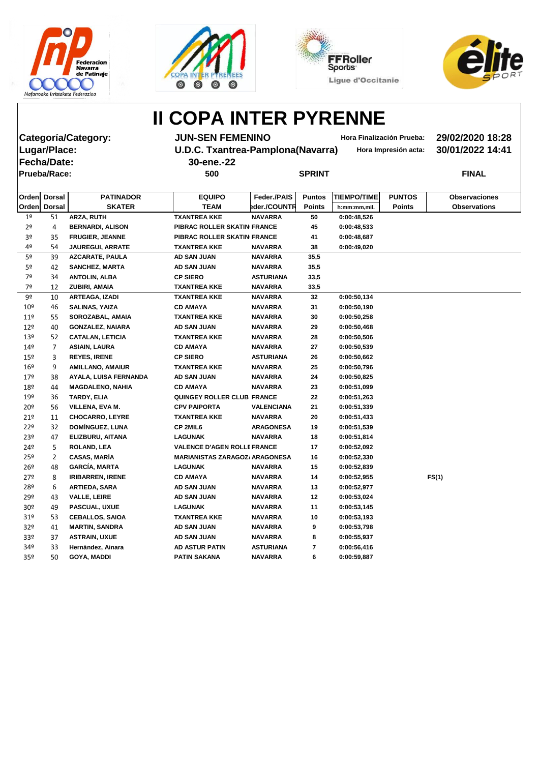







**Fecha/Date: 30-ene.-22 Prueba/Race: 500 SPRINT FINAL**

**Categoría/Category: JUN-SEN FEMENINO Hora Finalización Prueba: 29/02/2020 18:28 Lugar/Place: U.D.C. Txantrea-Pamplona(Navarra) Hora Impresión acta: 30/01/2022 14:41**

| Orden           | <b>Dorsal</b>         | <b>PATINADOR</b>        | <b>EQUIPO</b>                         | Feder./PAIS       | <b>Puntos</b> | <b>TIEMPO/TIME</b> | <b>PUNTOS</b> | <b>Observaciones</b> |
|-----------------|-----------------------|-------------------------|---------------------------------------|-------------------|---------------|--------------------|---------------|----------------------|
| Orden           | <b>Dorsal</b>         | <b>SKATER</b>           | <b>TEAM</b>                           | eder./COUNTR      | <b>Points</b> | h:mm:mm,mil.       | <b>Points</b> | <b>Observations</b>  |
| 1 <sup>°</sup>  | 51                    | ARZA, RUTH              | <b>TXANTREA KKE</b>                   | <b>NAVARRA</b>    | 50            | 0:00:48,526        |               |                      |
| 2 <sup>o</sup>  | 4                     | <b>BERNARDI, ALISON</b> | PIBRAC ROLLER SKATIN FRANCE           |                   | 45            | 0:00:48,533        |               |                      |
| 3º              | 35                    | <b>FRUGIER, JEANNE</b>  | PIBRAC ROLLER SKATIN FRANCE           |                   | 41            | 0:00:48,687        |               |                      |
| 4º              | 54                    | <b>JAUREGUI, ARRATE</b> | <b>TXANTREA KKE</b>                   | <b>NAVARRA</b>    | 38            | 0:00:49,020        |               |                      |
| 5º              | 39                    | <b>AZCARATE, PAULA</b>  | <b>AD SAN JUAN</b>                    | <b>NAVARRA</b>    | 35,5          |                    |               |                      |
| 5º              | 42                    | <b>SANCHEZ, MARTA</b>   | AD SAN JUAN                           | <b>NAVARRA</b>    | 35,5          |                    |               |                      |
| 7º              | 34                    | <b>ANTOLIN, ALBA</b>    | <b>CP SIERO</b>                       | <b>ASTURIANA</b>  | 33,5          |                    |               |                      |
| 7º              | 12                    | ZUBIRI, AMAIA           | <b>TXANTREA KKE</b>                   | <b>NAVARRA</b>    | 33,5          |                    |               |                      |
| 9º              | 10                    | <b>ARTEAGA, IZADI</b>   | <b>TXANTREA KKE</b>                   | <b>NAVARRA</b>    | 32            | 0:00:50,134        |               |                      |
| 10 <sup>°</sup> | 46                    | <b>SALINAS, YAIZA</b>   | <b>CD AMAYA</b>                       | <b>NAVARRA</b>    | 31            | 0:00:50,190        |               |                      |
| $11^{\circ}$    | 55                    | SOROZABAL, AMAIA        | <b>TXANTREA KKE</b>                   | <b>NAVARRA</b>    | 30            | 0:00:50,258        |               |                      |
| $12^{\circ}$    | 40                    | <b>GONZALEZ, NAIARA</b> | AD SAN JUAN                           | <b>NAVARRA</b>    | 29            | 0:00:50,468        |               |                      |
| 13º             | 52                    | <b>CATALAN, LETICIA</b> | <b>TXANTREA KKE</b>                   | <b>NAVARRA</b>    | 28            | 0:00:50,506        |               |                      |
| 149             | 7                     | <b>ASIAIN, LAURA</b>    | <b>CD AMAYA</b>                       | <b>NAVARRA</b>    | 27            | 0:00:50,539        |               |                      |
| $15^{\circ}$    | 3                     | <b>REYES, IRENE</b>     | <b>CP SIERO</b>                       | <b>ASTURIANA</b>  | 26            | 0:00:50,662        |               |                      |
| $16^{\circ}$    | 9                     | <b>AMILLANO, AMAIUR</b> | <b>TXANTREA KKE</b>                   | <b>NAVARRA</b>    | 25            | 0:00:50,796        |               |                      |
| 179             | 38                    | AYALA, LUISA FERNANDA   | <b>AD SAN JUAN</b>                    | <b>NAVARRA</b>    | 24            | 0:00:50,825        |               |                      |
| 18º             | 44                    | <b>MAGDALENO, NAHIA</b> | <b>CD AMAYA</b>                       | <b>NAVARRA</b>    | 23            | 0:00:51,099        |               |                      |
| 19º             | 36                    | TARDY, ELIA             | QUINGEY ROLLER CLUB FRANCE            |                   | 22            | 0:00:51,263        |               |                      |
| $20^{\circ}$    | 56                    | VILLENA, EVA M.         | <b>CPV PAIPORTA</b>                   | <b>VALENCIANA</b> | 21            | 0:00:51,339        |               |                      |
| 21°             | 11                    | <b>CHOCARRO, LEYRE</b>  | <b>TXANTREA KKE</b>                   | <b>NAVARRA</b>    | 20            | 0:00:51,433        |               |                      |
| 22°             | 32                    | DOMÍNGUEZ, LUNA         | <b>CP 2MIL6</b>                       | <b>ARAGONESA</b>  | 19            | 0:00:51,539        |               |                      |
| 23º             | 47                    | ELIZBURU, AITANA        | <b>LAGUNAK</b>                        | <b>NAVARRA</b>    | 18            | 0:00:51,814        |               |                      |
| $24^{\circ}$    | 5.                    | <b>ROLAND, LEA</b>      | <b>VALENCE D'AGEN ROLLE FRANCE</b>    |                   | 17            | 0:00:52,092        |               |                      |
| $25^{\circ}$    | $\mathbf{2}^{\prime}$ | <b>CASAS, MARÍA</b>     | <b>MARIANISTAS ZARAGOZ/ ARAGONESA</b> |                   | 16            | 0:00:52,330        |               |                      |
| $26^{\circ}$    | 48                    | <b>GARCÍA, MARTA</b>    | <b>LAGUNAK</b>                        | <b>NAVARRA</b>    | 15            | 0:00:52,839        |               |                      |
| 27 <sup>°</sup> | 8                     | <b>IRIBARREN, IRENE</b> | <b>CD AMAYA</b>                       | <b>NAVARRA</b>    | 14            | 0:00:52,955        |               | FS(1)                |
| 28º             | 6                     | <b>ARTIEDA, SARA</b>    | <b>AD SAN JUAN</b>                    | <b>NAVARRA</b>    | 13            | 0:00:52,977        |               |                      |
| 29º             | 43                    | <b>VALLE, LEIRE</b>     | <b>AD SAN JUAN</b>                    | <b>NAVARRA</b>    | 12            | 0:00:53,024        |               |                      |
| 30 <sup>o</sup> | 49                    | PASCUAL, UXUE           | <b>LAGUNAK</b>                        | <b>NAVARRA</b>    | 11            | 0:00:53,145        |               |                      |
| 319             | 53                    | <b>CEBALLOS, SAIOA</b>  | <b>TXANTREA KKE</b>                   | <b>NAVARRA</b>    | 10            | 0:00:53,193        |               |                      |
| 32 <sup>o</sup> | 41                    | <b>MARTIN, SANDRA</b>   | <b>AD SAN JUAN</b>                    | <b>NAVARRA</b>    | 9             | 0:00:53,798        |               |                      |
| 33º             | 37                    | <b>ASTRAIN, UXUE</b>    | AD SAN JUAN                           | <b>NAVARRA</b>    | 8             | 0:00:55,937        |               |                      |
| 34º             | 33                    | Hernández, Ainara       | <b>AD ASTUR PATIN</b>                 | <b>ASTURIANA</b>  | 7             | 0:00:56,416        |               |                      |
| 35 <sup>o</sup> | 50                    | <b>GOYA, MADDI</b>      | <b>PATIN SAKANA</b>                   | <b>NAVARRA</b>    | 6             | 0:00:59,887        |               |                      |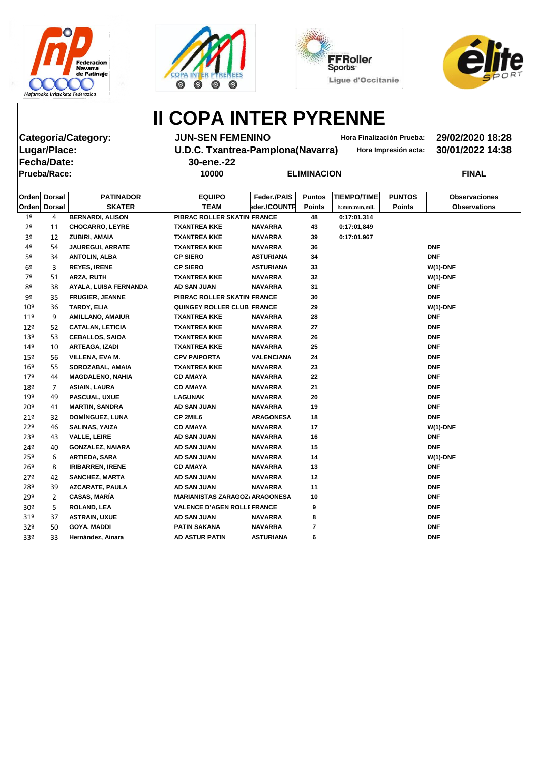







**Categoría/Category: JUN-SEN FEMENINO Hora Finalización Prueba: 29/02/2020 18:28 Fecha/Date: 30-ene.-22 Prueba/Race: 10000 ELIMINACION FINAL**

**Lugar/Place: U.D.C. Txantrea-Pamplona(Navarra) Hora Impresión acta: 30/01/2022 14:38**

|                 | Orden Dorsal   | <b>PATINADOR</b>        | <b>EQUIPO</b>                         | Feder./PAIS       | <b>Puntos</b> | <b>TIEMPO/TIME</b> | <b>PUNTOS</b> | <b>Observaciones</b> |
|-----------------|----------------|-------------------------|---------------------------------------|-------------------|---------------|--------------------|---------------|----------------------|
|                 | Orden Dorsal   | <b>SKATER</b>           | <b>TEAM</b>                           | eder./COUNTR      | <b>Points</b> | h:mm:mm,mil.       | <b>Points</b> | <b>Observations</b>  |
| $1^{\circ}$     | 4              | <b>BERNARDI, ALISON</b> | PIBRAC ROLLER SKATIN FRANCE           |                   | 48            | 0:17:01,314        |               |                      |
| 2 <sup>o</sup>  | 11             | <b>CHOCARRO, LEYRE</b>  | <b>TXANTREA KKE</b>                   | <b>NAVARRA</b>    | 43            | 0:17:01,849        |               |                      |
| 3 <sup>o</sup>  | 12             | ZUBIRI, AMAIA           | <b>TXANTREA KKE</b>                   | <b>NAVARRA</b>    | 39            | 0:17:01,967        |               |                      |
| 4º              | 54             | <b>JAUREGUI, ARRATE</b> | <b>TXANTREA KKE</b>                   | <b>NAVARRA</b>    | 36            |                    |               | <b>DNF</b>           |
| 5º              | 34             | <b>ANTOLIN, ALBA</b>    | <b>CP SIERO</b>                       | <b>ASTURIANA</b>  | 34            |                    |               | <b>DNF</b>           |
| 6 <sup>o</sup>  | 3              | <b>REYES, IRENE</b>     | <b>CP SIERO</b>                       | <b>ASTURIANA</b>  | 33            |                    |               | $W(1)$ -DNF          |
| 7º              | 51             | ARZA, RUTH              | <b>TXANTREA KKE</b>                   | <b>NAVARRA</b>    | 32            |                    |               | $W(1)$ -DNF          |
| 8º              | 38             | AYALA, LUISA FERNANDA   | <b>AD SAN JUAN</b>                    | <b>NAVARRA</b>    | 31            |                    |               | DNF                  |
| 9º              | 35             | <b>FRUGIER, JEANNE</b>  | PIBRAC ROLLER SKATIN FRANCE           |                   | 30            |                    |               | <b>DNF</b>           |
| 10 <sup>°</sup> | 36             | TARDY, ELIA             | QUINGEY ROLLER CLUB FRANCE            |                   | 29            |                    |               | $W(1)$ -DNF          |
| 11 <sup>°</sup> | 9              | <b>AMILLANO, AMAIUR</b> | <b>TXANTREA KKE</b>                   | <b>NAVARRA</b>    | 28            |                    |               | <b>DNF</b>           |
| 12 <sup>°</sup> | 52             | <b>CATALAN, LETICIA</b> | <b>TXANTREA KKE</b>                   | <b>NAVARRA</b>    | 27            |                    |               | <b>DNF</b>           |
| 13º             | 53             | <b>CEBALLOS, SAIOA</b>  | <b>TXANTREA KKE</b>                   | <b>NAVARRA</b>    | 26            |                    |               | <b>DNF</b>           |
| 14 <sup>°</sup> | 10             | <b>ARTEAGA, IZADI</b>   | <b>TXANTREA KKE</b>                   | <b>NAVARRA</b>    | 25            |                    |               | <b>DNF</b>           |
| 15 <sup>°</sup> | 56             | VILLENA, EVA M.         | <b>CPV PAIPORTA</b>                   | <b>VALENCIANA</b> | 24            |                    |               | <b>DNF</b>           |
| $16^{\circ}$    | 55             | SOROZABAL, AMAIA        | <b>TXANTREA KKE</b>                   | <b>NAVARRA</b>    | 23            |                    |               | <b>DNF</b>           |
| 179             | 44             | <b>MAGDALENO, NAHIA</b> | <b>CD AMAYA</b>                       | <b>NAVARRA</b>    | 22            |                    |               | <b>DNF</b>           |
| 18º             | $\overline{7}$ | <b>ASIAIN, LAURA</b>    | <b>CD AMAYA</b>                       | <b>NAVARRA</b>    | 21            |                    |               | <b>DNF</b>           |
| 19º             | 49             | PASCUAL, UXUE           | <b>LAGUNAK</b>                        | <b>NAVARRA</b>    | 20            |                    |               | <b>DNF</b>           |
| 20 <sup>°</sup> | 41             | <b>MARTIN, SANDRA</b>   | <b>AD SAN JUAN</b>                    | <b>NAVARRA</b>    | 19            |                    |               | <b>DNF</b>           |
| 21°             | 32             | <b>DOMÍNGUEZ, LUNA</b>  | CP 2MIL6                              | <b>ARAGONESA</b>  | 18            |                    |               | <b>DNF</b>           |
| 22 <sup>°</sup> | 46             | <b>SALINAS, YAIZA</b>   | <b>CD AMAYA</b>                       | <b>NAVARRA</b>    | 17            |                    |               | $W(1)$ -DNF          |
| 23º             | 43             | <b>VALLE, LEIRE</b>     | <b>AD SAN JUAN</b>                    | <b>NAVARRA</b>    | 16            |                    |               | <b>DNF</b>           |
| 24º             | 40             | <b>GONZALEZ, NAIARA</b> | AD SAN JUAN                           | <b>NAVARRA</b>    | 15            |                    |               | <b>DNF</b>           |
| 25º             | 6              | <b>ARTIEDA, SARA</b>    | <b>AD SAN JUAN</b>                    | <b>NAVARRA</b>    | 14            |                    |               | $W(1)$ -DNF          |
| 26 <sup>°</sup> | 8              | <b>IRIBARREN, IRENE</b> | <b>CD AMAYA</b>                       | <b>NAVARRA</b>    | 13            |                    |               | DNF                  |
| 27 <sup>°</sup> | 42             | <b>SANCHEZ, MARTA</b>   | <b>AD SAN JUAN</b>                    | <b>NAVARRA</b>    | 12            |                    |               | <b>DNF</b>           |
| 28º             | 39             | <b>AZCARATE, PAULA</b>  | AD SAN JUAN                           | <b>NAVARRA</b>    | 11            |                    |               | <b>DNF</b>           |
| 29º             | $\overline{2}$ | <b>CASAS, MARÍA</b>     | <b>MARIANISTAS ZARAGOZ/ ARAGONESA</b> |                   | 10            |                    |               | <b>DNF</b>           |
| 30 <sup>o</sup> | 5              | <b>ROLAND, LEA</b>      | <b>VALENCE D'AGEN ROLLE FRANCE</b>    |                   | 9             |                    |               | <b>DNF</b>           |
| 31 <sup>o</sup> | 37             | <b>ASTRAIN, UXUE</b>    | AD SAN JUAN                           | <b>NAVARRA</b>    | 8             |                    |               | <b>DNF</b>           |
| 32º             | 50             | <b>GOYA, MADDI</b>      | <b>PATIN SAKANA</b>                   | <b>NAVARRA</b>    | 7             |                    |               | <b>DNF</b>           |
| 33º             | 33             | Hernández, Ainara       | <b>AD ASTUR PATIN</b>                 | <b>ASTURIANA</b>  | 6             |                    |               | <b>DNF</b>           |
|                 |                |                         |                                       |                   |               |                    |               |                      |